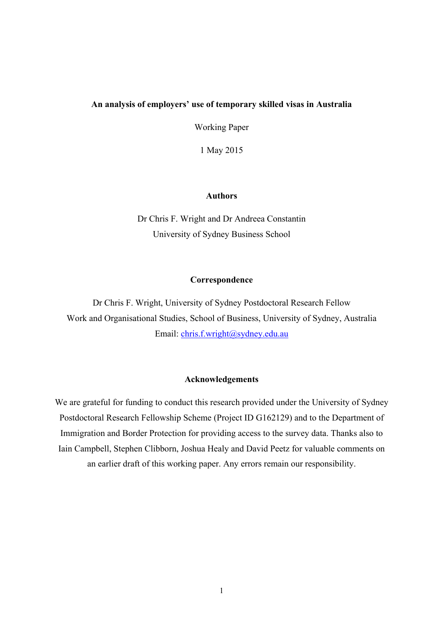## **An analysis of employers' use of temporary skilled visas in Australia**

Working Paper

1 May 2015

### **Authors**

Dr Chris F. Wright and Dr Andreea Constantin University of Sydney Business School

#### **Correspondence**

Dr Chris F. Wright, University of Sydney Postdoctoral Research Fellow Work and Organisational Studies, School of Business, University of Sydney, Australia Email: chris.f.wright@sydney.edu.au

## **Acknowledgements**

We are grateful for funding to conduct this research provided under the University of Sydney Postdoctoral Research Fellowship Scheme (Project ID G162129) and to the Department of Immigration and Border Protection for providing access to the survey data. Thanks also to Iain Campbell, Stephen Clibborn, Joshua Healy and David Peetz for valuable comments on an earlier draft of this working paper. Any errors remain our responsibility.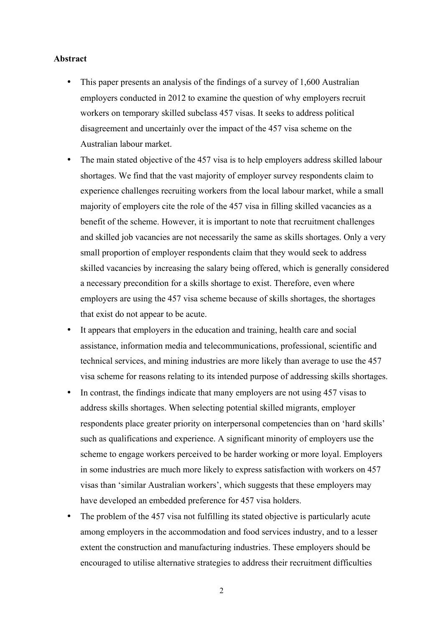#### **Abstract**

- This paper presents an analysis of the findings of a survey of 1,600 Australian employers conducted in 2012 to examine the question of why employers recruit workers on temporary skilled subclass 457 visas. It seeks to address political disagreement and uncertainly over the impact of the 457 visa scheme on the Australian labour market.
- The main stated objective of the 457 visa is to help employers address skilled labour shortages. We find that the vast majority of employer survey respondents claim to experience challenges recruiting workers from the local labour market, while a small majority of employers cite the role of the 457 visa in filling skilled vacancies as a benefit of the scheme. However, it is important to note that recruitment challenges and skilled job vacancies are not necessarily the same as skills shortages. Only a very small proportion of employer respondents claim that they would seek to address skilled vacancies by increasing the salary being offered, which is generally considered a necessary precondition for a skills shortage to exist. Therefore, even where employers are using the 457 visa scheme because of skills shortages, the shortages that exist do not appear to be acute.
- It appears that employers in the education and training, health care and social assistance, information media and telecommunications, professional, scientific and technical services, and mining industries are more likely than average to use the 457 visa scheme for reasons relating to its intended purpose of addressing skills shortages.
- In contrast, the findings indicate that many employers are not using 457 visas to address skills shortages. When selecting potential skilled migrants, employer respondents place greater priority on interpersonal competencies than on 'hard skills' such as qualifications and experience. A significant minority of employers use the scheme to engage workers perceived to be harder working or more loyal. Employers in some industries are much more likely to express satisfaction with workers on 457 visas than 'similar Australian workers', which suggests that these employers may have developed an embedded preference for 457 visa holders.
- The problem of the 457 visa not fulfilling its stated objective is particularly acute among employers in the accommodation and food services industry, and to a lesser extent the construction and manufacturing industries. These employers should be encouraged to utilise alternative strategies to address their recruitment difficulties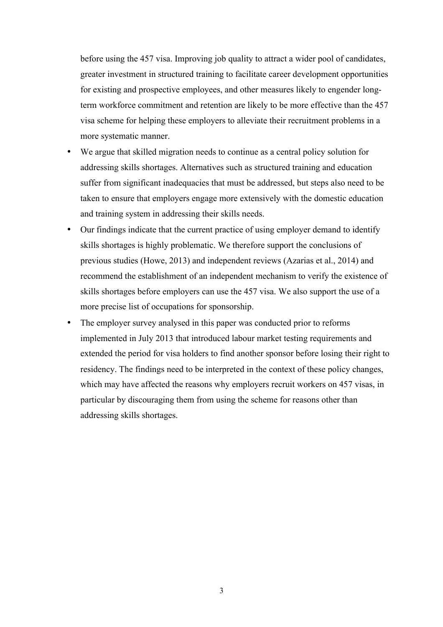before using the 457 visa. Improving job quality to attract a wider pool of candidates, greater investment in structured training to facilitate career development opportunities for existing and prospective employees, and other measures likely to engender longterm workforce commitment and retention are likely to be more effective than the 457 visa scheme for helping these employers to alleviate their recruitment problems in a more systematic manner.

- We argue that skilled migration needs to continue as a central policy solution for addressing skills shortages. Alternatives such as structured training and education suffer from significant inadequacies that must be addressed, but steps also need to be taken to ensure that employers engage more extensively with the domestic education and training system in addressing their skills needs.
- Our findings indicate that the current practice of using employer demand to identify skills shortages is highly problematic. We therefore support the conclusions of previous studies (Howe, 2013) and independent reviews (Azarias et al., 2014) and recommend the establishment of an independent mechanism to verify the existence of skills shortages before employers can use the 457 visa. We also support the use of a more precise list of occupations for sponsorship.
- The employer survey analysed in this paper was conducted prior to reforms implemented in July 2013 that introduced labour market testing requirements and extended the period for visa holders to find another sponsor before losing their right to residency. The findings need to be interpreted in the context of these policy changes, which may have affected the reasons why employers recruit workers on 457 visas, in particular by discouraging them from using the scheme for reasons other than addressing skills shortages.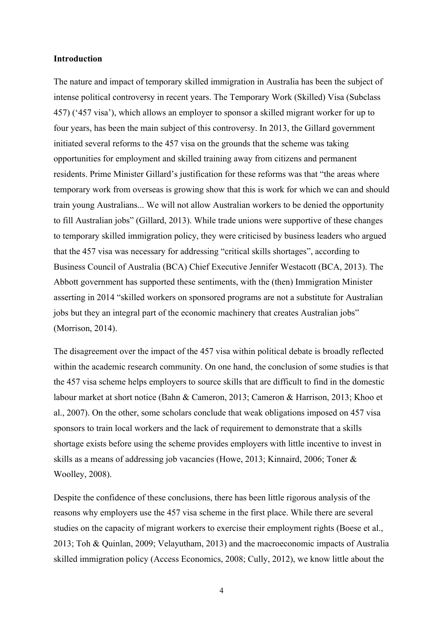#### **Introduction**

The nature and impact of temporary skilled immigration in Australia has been the subject of intense political controversy in recent years. The Temporary Work (Skilled) Visa (Subclass 457) ('457 visa'), which allows an employer to sponsor a skilled migrant worker for up to four years, has been the main subject of this controversy. In 2013, the Gillard government initiated several reforms to the 457 visa on the grounds that the scheme was taking opportunities for employment and skilled training away from citizens and permanent residents. Prime Minister Gillard's justification for these reforms was that "the areas where temporary work from overseas is growing show that this is work for which we can and should train young Australians... We will not allow Australian workers to be denied the opportunity to fill Australian jobs" (Gillard, 2013). While trade unions were supportive of these changes to temporary skilled immigration policy, they were criticised by business leaders who argued that the 457 visa was necessary for addressing "critical skills shortages", according to Business Council of Australia (BCA) Chief Executive Jennifer Westacott (BCA, 2013). The Abbott government has supported these sentiments, with the (then) Immigration Minister asserting in 2014 "skilled workers on sponsored programs are not a substitute for Australian jobs but they an integral part of the economic machinery that creates Australian jobs" (Morrison, 2014).

The disagreement over the impact of the 457 visa within political debate is broadly reflected within the academic research community. On one hand, the conclusion of some studies is that the 457 visa scheme helps employers to source skills that are difficult to find in the domestic labour market at short notice (Bahn & Cameron, 2013; Cameron & Harrison, 2013; Khoo et al., 2007). On the other, some scholars conclude that weak obligations imposed on 457 visa sponsors to train local workers and the lack of requirement to demonstrate that a skills shortage exists before using the scheme provides employers with little incentive to invest in skills as a means of addressing job vacancies (Howe, 2013; Kinnaird, 2006; Toner & Woolley, 2008).

Despite the confidence of these conclusions, there has been little rigorous analysis of the reasons why employers use the 457 visa scheme in the first place. While there are several studies on the capacity of migrant workers to exercise their employment rights (Boese et al., 2013; Toh & Quinlan, 2009; Velayutham, 2013) and the macroeconomic impacts of Australia skilled immigration policy (Access Economics, 2008; Cully, 2012), we know little about the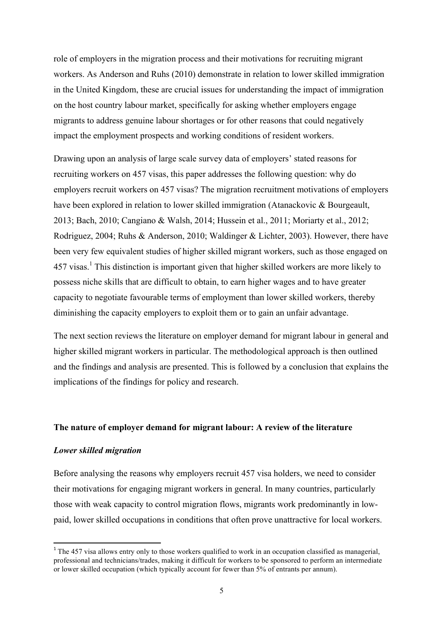role of employers in the migration process and their motivations for recruiting migrant workers. As Anderson and Ruhs (2010) demonstrate in relation to lower skilled immigration in the United Kingdom, these are crucial issues for understanding the impact of immigration on the host country labour market, specifically for asking whether employers engage migrants to address genuine labour shortages or for other reasons that could negatively impact the employment prospects and working conditions of resident workers.

Drawing upon an analysis of large scale survey data of employers' stated reasons for recruiting workers on 457 visas, this paper addresses the following question: why do employers recruit workers on 457 visas? The migration recruitment motivations of employers have been explored in relation to lower skilled immigration (Atanackovic & Bourgeault, 2013; Bach, 2010; Cangiano & Walsh, 2014; Hussein et al., 2011; Moriarty et al., 2012; Rodriguez, 2004; Ruhs & Anderson, 2010; Waldinger & Lichter, 2003). However, there have been very few equivalent studies of higher skilled migrant workers, such as those engaged on 457 visas.<sup>1</sup> This distinction is important given that higher skilled workers are more likely to possess niche skills that are difficult to obtain, to earn higher wages and to have greater capacity to negotiate favourable terms of employment than lower skilled workers, thereby diminishing the capacity employers to exploit them or to gain an unfair advantage.

The next section reviews the literature on employer demand for migrant labour in general and higher skilled migrant workers in particular. The methodological approach is then outlined and the findings and analysis are presented. This is followed by a conclusion that explains the implications of the findings for policy and research.

### **The nature of employer demand for migrant labour: A review of the literature**

#### *Lower skilled migration*

<u> 1989 - Jan Samuel Barbara, margaret e</u>

Before analysing the reasons why employers recruit 457 visa holders, we need to consider their motivations for engaging migrant workers in general. In many countries, particularly those with weak capacity to control migration flows, migrants work predominantly in lowpaid, lower skilled occupations in conditions that often prove unattractive for local workers.

 $1$  The 457 visa allows entry only to those workers qualified to work in an occupation classified as managerial. professional and technicians/trades, making it difficult for workers to be sponsored to perform an intermediate or lower skilled occupation (which typically account for fewer than 5% of entrants per annum).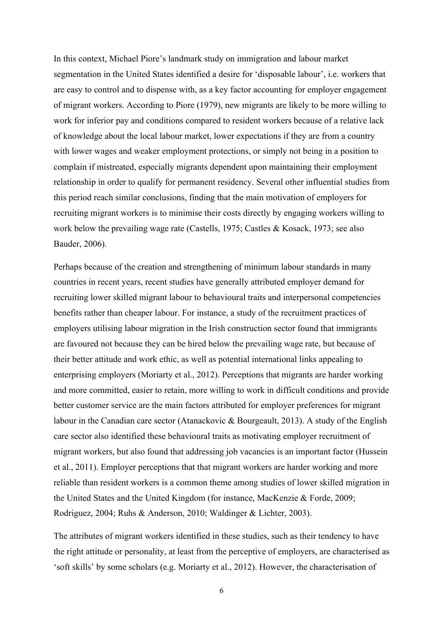In this context, Michael Piore's landmark study on immigration and labour market segmentation in the United States identified a desire for 'disposable labour', i.e. workers that are easy to control and to dispense with, as a key factor accounting for employer engagement of migrant workers. According to Piore (1979), new migrants are likely to be more willing to work for inferior pay and conditions compared to resident workers because of a relative lack of knowledge about the local labour market, lower expectations if they are from a country with lower wages and weaker employment protections, or simply not being in a position to complain if mistreated, especially migrants dependent upon maintaining their employment relationship in order to qualify for permanent residency. Several other influential studies from this period reach similar conclusions, finding that the main motivation of employers for recruiting migrant workers is to minimise their costs directly by engaging workers willing to work below the prevailing wage rate (Castells, 1975; Castles & Kosack, 1973; see also Bauder, 2006).

Perhaps because of the creation and strengthening of minimum labour standards in many countries in recent years, recent studies have generally attributed employer demand for recruiting lower skilled migrant labour to behavioural traits and interpersonal competencies benefits rather than cheaper labour. For instance, a study of the recruitment practices of employers utilising labour migration in the Irish construction sector found that immigrants are favoured not because they can be hired below the prevailing wage rate, but because of their better attitude and work ethic, as well as potential international links appealing to enterprising employers (Moriarty et al., 2012). Perceptions that migrants are harder working and more committed, easier to retain, more willing to work in difficult conditions and provide better customer service are the main factors attributed for employer preferences for migrant labour in the Canadian care sector (Atanackovic & Bourgeault, 2013). A study of the English care sector also identified these behavioural traits as motivating employer recruitment of migrant workers, but also found that addressing job vacancies is an important factor (Hussein et al., 2011). Employer perceptions that that migrant workers are harder working and more reliable than resident workers is a common theme among studies of lower skilled migration in the United States and the United Kingdom (for instance, MacKenzie & Forde, 2009; Rodriguez, 2004; Ruhs & Anderson, 2010; Waldinger & Lichter, 2003).

The attributes of migrant workers identified in these studies, such as their tendency to have the right attitude or personality, at least from the perceptive of employers, are characterised as 'soft skills' by some scholars (e.g. Moriarty et al., 2012). However, the characterisation of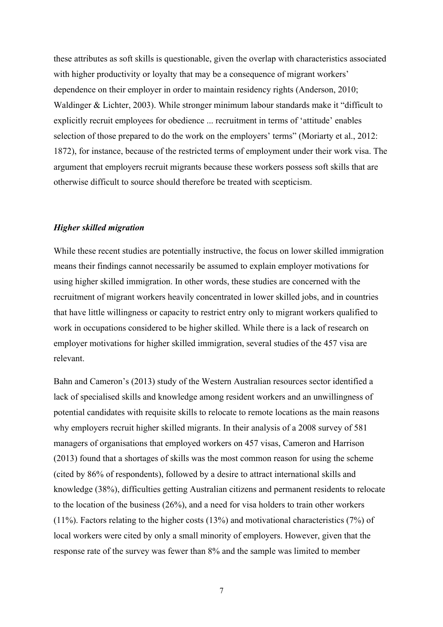these attributes as soft skills is questionable, given the overlap with characteristics associated with higher productivity or loyalty that may be a consequence of migrant workers' dependence on their employer in order to maintain residency rights (Anderson, 2010; Waldinger & Lichter, 2003). While stronger minimum labour standards make it "difficult to explicitly recruit employees for obedience ... recruitment in terms of 'attitude' enables selection of those prepared to do the work on the employers' terms" (Moriarty et al., 2012: 1872), for instance, because of the restricted terms of employment under their work visa. The argument that employers recruit migrants because these workers possess soft skills that are otherwise difficult to source should therefore be treated with scepticism.

#### *Higher skilled migration*

While these recent studies are potentially instructive, the focus on lower skilled immigration means their findings cannot necessarily be assumed to explain employer motivations for using higher skilled immigration. In other words, these studies are concerned with the recruitment of migrant workers heavily concentrated in lower skilled jobs, and in countries that have little willingness or capacity to restrict entry only to migrant workers qualified to work in occupations considered to be higher skilled. While there is a lack of research on employer motivations for higher skilled immigration, several studies of the 457 visa are relevant.

Bahn and Cameron's (2013) study of the Western Australian resources sector identified a lack of specialised skills and knowledge among resident workers and an unwillingness of potential candidates with requisite skills to relocate to remote locations as the main reasons why employers recruit higher skilled migrants. In their analysis of a 2008 survey of 581 managers of organisations that employed workers on 457 visas, Cameron and Harrison (2013) found that a shortages of skills was the most common reason for using the scheme (cited by 86% of respondents), followed by a desire to attract international skills and knowledge (38%), difficulties getting Australian citizens and permanent residents to relocate to the location of the business (26%), and a need for visa holders to train other workers (11%). Factors relating to the higher costs (13%) and motivational characteristics (7%) of local workers were cited by only a small minority of employers. However, given that the response rate of the survey was fewer than 8% and the sample was limited to member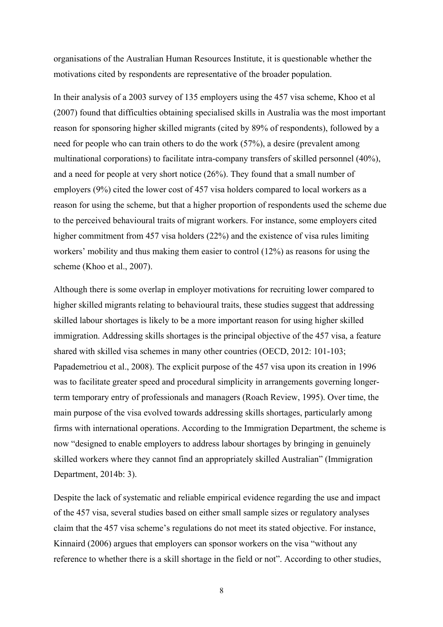organisations of the Australian Human Resources Institute, it is questionable whether the motivations cited by respondents are representative of the broader population.

In their analysis of a 2003 survey of 135 employers using the 457 visa scheme, Khoo et al (2007) found that difficulties obtaining specialised skills in Australia was the most important reason for sponsoring higher skilled migrants (cited by 89% of respondents), followed by a need for people who can train others to do the work (57%), a desire (prevalent among multinational corporations) to facilitate intra-company transfers of skilled personnel (40%), and a need for people at very short notice (26%). They found that a small number of employers (9%) cited the lower cost of 457 visa holders compared to local workers as a reason for using the scheme, but that a higher proportion of respondents used the scheme due to the perceived behavioural traits of migrant workers. For instance, some employers cited higher commitment from 457 visa holders (22%) and the existence of visa rules limiting workers' mobility and thus making them easier to control (12%) as reasons for using the scheme (Khoo et al., 2007).

Although there is some overlap in employer motivations for recruiting lower compared to higher skilled migrants relating to behavioural traits, these studies suggest that addressing skilled labour shortages is likely to be a more important reason for using higher skilled immigration. Addressing skills shortages is the principal objective of the 457 visa, a feature shared with skilled visa schemes in many other countries (OECD, 2012: 101-103; Papademetriou et al., 2008). The explicit purpose of the 457 visa upon its creation in 1996 was to facilitate greater speed and procedural simplicity in arrangements governing longerterm temporary entry of professionals and managers (Roach Review, 1995). Over time, the main purpose of the visa evolved towards addressing skills shortages, particularly among firms with international operations. According to the Immigration Department, the scheme is now "designed to enable employers to address labour shortages by bringing in genuinely skilled workers where they cannot find an appropriately skilled Australian" (Immigration Department, 2014b: 3).

Despite the lack of systematic and reliable empirical evidence regarding the use and impact of the 457 visa, several studies based on either small sample sizes or regulatory analyses claim that the 457 visa scheme's regulations do not meet its stated objective. For instance, Kinnaird (2006) argues that employers can sponsor workers on the visa "without any reference to whether there is a skill shortage in the field or not". According to other studies,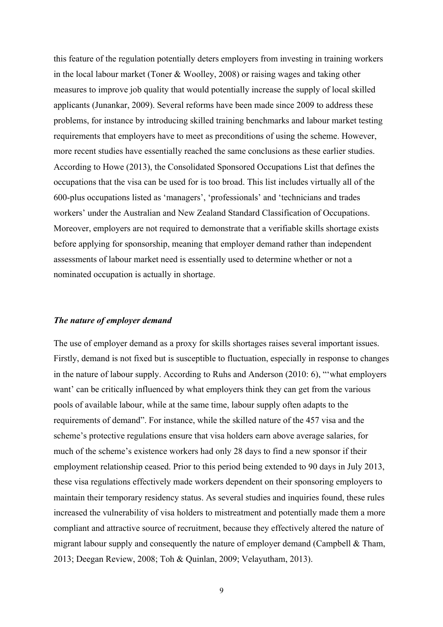this feature of the regulation potentially deters employers from investing in training workers in the local labour market (Toner & Woolley, 2008) or raising wages and taking other measures to improve job quality that would potentially increase the supply of local skilled applicants (Junankar, 2009). Several reforms have been made since 2009 to address these problems, for instance by introducing skilled training benchmarks and labour market testing requirements that employers have to meet as preconditions of using the scheme. However, more recent studies have essentially reached the same conclusions as these earlier studies. According to Howe (2013), the Consolidated Sponsored Occupations List that defines the occupations that the visa can be used for is too broad. This list includes virtually all of the 600-plus occupations listed as 'managers', 'professionals' and 'technicians and trades workers' under the Australian and New Zealand Standard Classification of Occupations. Moreover, employers are not required to demonstrate that a verifiable skills shortage exists before applying for sponsorship, meaning that employer demand rather than independent assessments of labour market need is essentially used to determine whether or not a nominated occupation is actually in shortage.

#### *The nature of employer demand*

The use of employer demand as a proxy for skills shortages raises several important issues. Firstly, demand is not fixed but is susceptible to fluctuation, especially in response to changes in the nature of labour supply. According to Ruhs and Anderson (2010: 6), "'what employers want' can be critically influenced by what employers think they can get from the various pools of available labour, while at the same time, labour supply often adapts to the requirements of demand". For instance, while the skilled nature of the 457 visa and the scheme's protective regulations ensure that visa holders earn above average salaries, for much of the scheme's existence workers had only 28 days to find a new sponsor if their employment relationship ceased. Prior to this period being extended to 90 days in July 2013, these visa regulations effectively made workers dependent on their sponsoring employers to maintain their temporary residency status. As several studies and inquiries found, these rules increased the vulnerability of visa holders to mistreatment and potentially made them a more compliant and attractive source of recruitment, because they effectively altered the nature of migrant labour supply and consequently the nature of employer demand (Campbell & Tham, 2013; Deegan Review, 2008; Toh & Quinlan, 2009; Velayutham, 2013).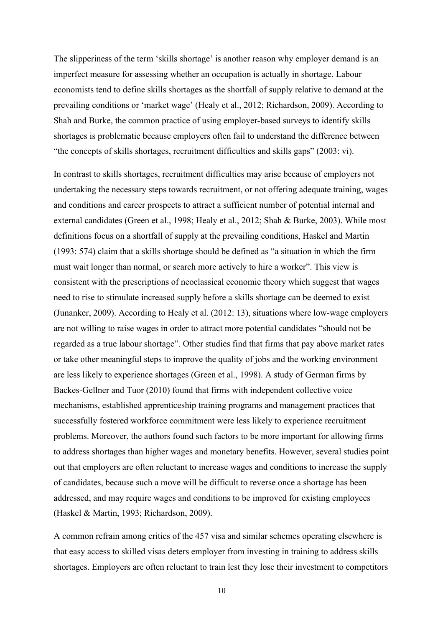The slipperiness of the term 'skills shortage' is another reason why employer demand is an imperfect measure for assessing whether an occupation is actually in shortage. Labour economists tend to define skills shortages as the shortfall of supply relative to demand at the prevailing conditions or 'market wage' (Healy et al., 2012; Richardson, 2009). According to Shah and Burke, the common practice of using employer-based surveys to identify skills shortages is problematic because employers often fail to understand the difference between "the concepts of skills shortages, recruitment difficulties and skills gaps" (2003: vi).

In contrast to skills shortages, recruitment difficulties may arise because of employers not undertaking the necessary steps towards recruitment, or not offering adequate training, wages and conditions and career prospects to attract a sufficient number of potential internal and external candidates (Green et al., 1998; Healy et al., 2012; Shah & Burke, 2003). While most definitions focus on a shortfall of supply at the prevailing conditions, Haskel and Martin (1993: 574) claim that a skills shortage should be defined as "a situation in which the firm must wait longer than normal, or search more actively to hire a worker". This view is consistent with the prescriptions of neoclassical economic theory which suggest that wages need to rise to stimulate increased supply before a skills shortage can be deemed to exist (Junanker, 2009). According to Healy et al. (2012: 13), situations where low-wage employers are not willing to raise wages in order to attract more potential candidates "should not be regarded as a true labour shortage". Other studies find that firms that pay above market rates or take other meaningful steps to improve the quality of jobs and the working environment are less likely to experience shortages (Green et al., 1998). A study of German firms by Backes-Gellner and Tuor (2010) found that firms with independent collective voice mechanisms, established apprenticeship training programs and management practices that successfully fostered workforce commitment were less likely to experience recruitment problems. Moreover, the authors found such factors to be more important for allowing firms to address shortages than higher wages and monetary benefits. However, several studies point out that employers are often reluctant to increase wages and conditions to increase the supply of candidates, because such a move will be difficult to reverse once a shortage has been addressed, and may require wages and conditions to be improved for existing employees (Haskel & Martin, 1993; Richardson, 2009).

A common refrain among critics of the 457 visa and similar schemes operating elsewhere is that easy access to skilled visas deters employer from investing in training to address skills shortages. Employers are often reluctant to train lest they lose their investment to competitors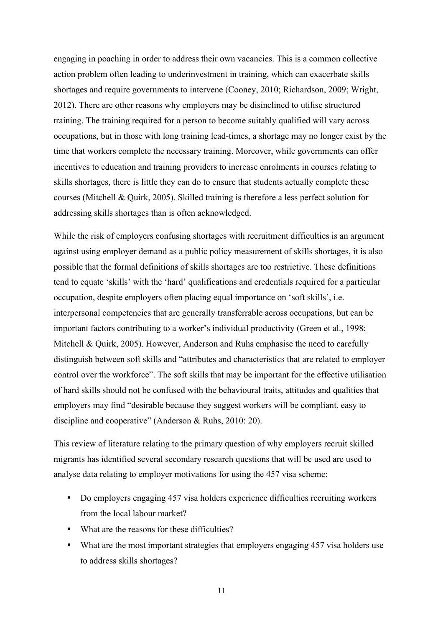engaging in poaching in order to address their own vacancies. This is a common collective action problem often leading to underinvestment in training, which can exacerbate skills shortages and require governments to intervene (Cooney, 2010; Richardson, 2009; Wright, 2012). There are other reasons why employers may be disinclined to utilise structured training. The training required for a person to become suitably qualified will vary across occupations, but in those with long training lead-times, a shortage may no longer exist by the time that workers complete the necessary training. Moreover, while governments can offer incentives to education and training providers to increase enrolments in courses relating to skills shortages, there is little they can do to ensure that students actually complete these courses (Mitchell & Quirk, 2005). Skilled training is therefore a less perfect solution for addressing skills shortages than is often acknowledged.

While the risk of employers confusing shortages with recruitment difficulties is an argument against using employer demand as a public policy measurement of skills shortages, it is also possible that the formal definitions of skills shortages are too restrictive. These definitions tend to equate 'skills' with the 'hard' qualifications and credentials required for a particular occupation, despite employers often placing equal importance on 'soft skills', i.e. interpersonal competencies that are generally transferrable across occupations, but can be important factors contributing to a worker's individual productivity (Green et al., 1998; Mitchell & Quirk, 2005). However, Anderson and Ruhs emphasise the need to carefully distinguish between soft skills and "attributes and characteristics that are related to employer control over the workforce". The soft skills that may be important for the effective utilisation of hard skills should not be confused with the behavioural traits, attitudes and qualities that employers may find "desirable because they suggest workers will be compliant, easy to discipline and cooperative" (Anderson & Ruhs, 2010: 20).

This review of literature relating to the primary question of why employers recruit skilled migrants has identified several secondary research questions that will be used are used to analyse data relating to employer motivations for using the 457 visa scheme:

- Do employers engaging 457 visa holders experience difficulties recruiting workers from the local labour market?
- What are the reasons for these difficulties?
- What are the most important strategies that employers engaging 457 visa holders use to address skills shortages?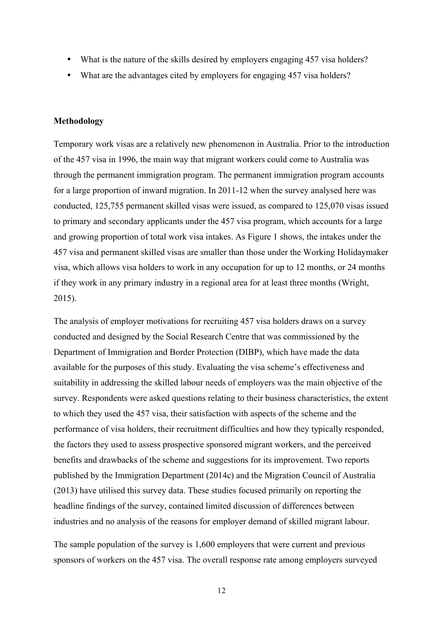- What is the nature of the skills desired by employers engaging 457 visa holders?
- What are the advantages cited by employers for engaging 457 visa holders?

#### **Methodology**

Temporary work visas are a relatively new phenomenon in Australia. Prior to the introduction of the 457 visa in 1996, the main way that migrant workers could come to Australia was through the permanent immigration program. The permanent immigration program accounts for a large proportion of inward migration. In 2011-12 when the survey analysed here was conducted, 125,755 permanent skilled visas were issued, as compared to 125,070 visas issued to primary and secondary applicants under the 457 visa program, which accounts for a large and growing proportion of total work visa intakes. As Figure 1 shows, the intakes under the 457 visa and permanent skilled visas are smaller than those under the Working Holidaymaker visa, which allows visa holders to work in any occupation for up to 12 months, or 24 months if they work in any primary industry in a regional area for at least three months (Wright, 2015).

The analysis of employer motivations for recruiting 457 visa holders draws on a survey conducted and designed by the Social Research Centre that was commissioned by the Department of Immigration and Border Protection (DIBP), which have made the data available for the purposes of this study. Evaluating the visa scheme's effectiveness and suitability in addressing the skilled labour needs of employers was the main objective of the survey. Respondents were asked questions relating to their business characteristics, the extent to which they used the 457 visa, their satisfaction with aspects of the scheme and the performance of visa holders, their recruitment difficulties and how they typically responded, the factors they used to assess prospective sponsored migrant workers, and the perceived benefits and drawbacks of the scheme and suggestions for its improvement. Two reports published by the Immigration Department (2014c) and the Migration Council of Australia (2013) have utilised this survey data. These studies focused primarily on reporting the headline findings of the survey, contained limited discussion of differences between industries and no analysis of the reasons for employer demand of skilled migrant labour.

The sample population of the survey is 1,600 employers that were current and previous sponsors of workers on the 457 visa. The overall response rate among employers surveyed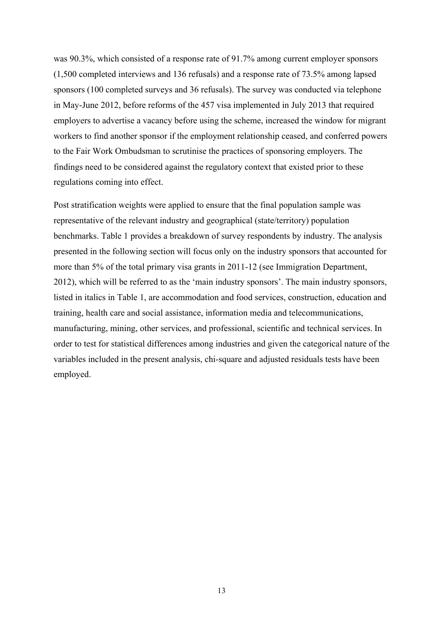was 90.3%, which consisted of a response rate of 91.7% among current employer sponsors (1,500 completed interviews and 136 refusals) and a response rate of 73.5% among lapsed sponsors (100 completed surveys and 36 refusals). The survey was conducted via telephone in May-June 2012, before reforms of the 457 visa implemented in July 2013 that required employers to advertise a vacancy before using the scheme, increased the window for migrant workers to find another sponsor if the employment relationship ceased, and conferred powers to the Fair Work Ombudsman to scrutinise the practices of sponsoring employers. The findings need to be considered against the regulatory context that existed prior to these regulations coming into effect.

Post stratification weights were applied to ensure that the final population sample was representative of the relevant industry and geographical (state/territory) population benchmarks. Table 1 provides a breakdown of survey respondents by industry. The analysis presented in the following section will focus only on the industry sponsors that accounted for more than 5% of the total primary visa grants in 2011-12 (see Immigration Department, 2012), which will be referred to as the 'main industry sponsors'. The main industry sponsors, listed in italics in Table 1, are accommodation and food services, construction, education and training, health care and social assistance, information media and telecommunications, manufacturing, mining, other services, and professional, scientific and technical services. In order to test for statistical differences among industries and given the categorical nature of the variables included in the present analysis, chi-square and adjusted residuals tests have been employed.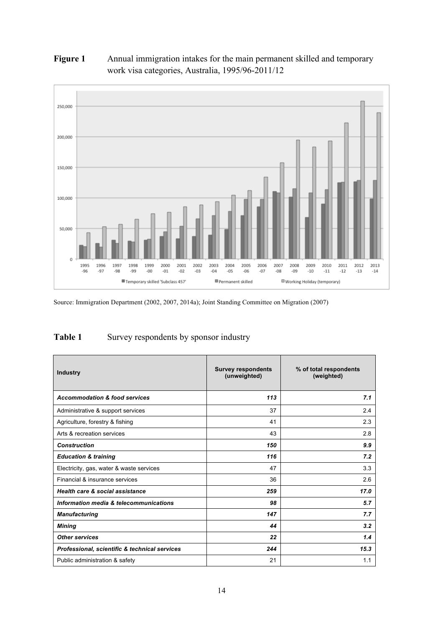# **Figure 1** Annual immigration intakes for the main permanent skilled and temporary work visa categories, Australia, 1995/96-2011/12



Source: Immigration Department (2002, 2007, 2014a); Joint Standing Committee on Migration (2007)

# Table 1 Survey respondents by sponsor industry

| <b>Industry</b>                               | <b>Survey respondents</b><br>(unweighted) | % of total respondents<br>(weighted) |  |
|-----------------------------------------------|-------------------------------------------|--------------------------------------|--|
| <b>Accommodation &amp; food services</b>      | 113                                       | 7.1                                  |  |
| Administrative & support services             | 37                                        | 2.4                                  |  |
| Agriculture, forestry & fishing               | 41                                        | 2.3                                  |  |
| Arts & recreation services                    | 43                                        | 2.8                                  |  |
| <b>Construction</b>                           | 150                                       | 9.9                                  |  |
| <b>Education &amp; training</b>               | 116                                       | 7.2                                  |  |
| Electricity, gas, water & waste services      | 47                                        | 3.3                                  |  |
| Financial & insurance services                | 36                                        | 2.6                                  |  |
| <b>Health care &amp; social assistance</b>    | 259                                       | 17.0                                 |  |
| Information media & telecommunications        | 98                                        | 5.7                                  |  |
| <b>Manufacturing</b>                          | 147                                       | 7.7                                  |  |
| Mining                                        | 44                                        | 3.2                                  |  |
| <b>Other services</b>                         | 22                                        | 1.4                                  |  |
| Professional, scientific & technical services | 244                                       | 15.3                                 |  |
| Public administration & safety                | 21                                        | 1.1                                  |  |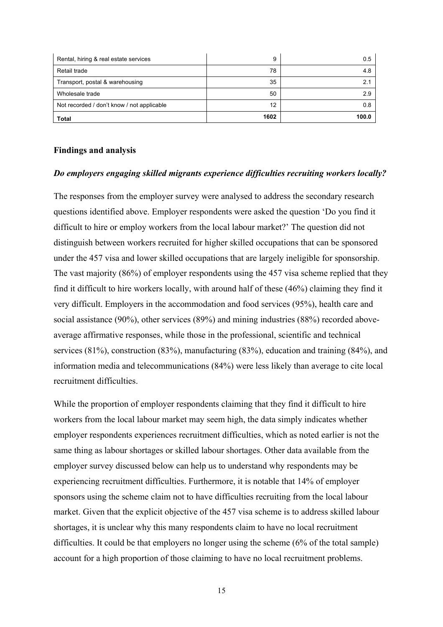| Rental, hiring & real estate services      | 9    | 0.5   |
|--------------------------------------------|------|-------|
| Retail trade                               | 78   | 4.8   |
| Transport, postal & warehousing            | 35   |       |
| Wholesale trade                            | 50   | 29    |
| Not recorded / don't know / not applicable | 12   | 0.8   |
| <b>Total</b>                               | 1602 | 100.0 |

#### **Findings and analysis**

#### *Do employers engaging skilled migrants experience difficulties recruiting workers locally?*

The responses from the employer survey were analysed to address the secondary research questions identified above. Employer respondents were asked the question 'Do you find it difficult to hire or employ workers from the local labour market?' The question did not distinguish between workers recruited for higher skilled occupations that can be sponsored under the 457 visa and lower skilled occupations that are largely ineligible for sponsorship. The vast majority (86%) of employer respondents using the 457 visa scheme replied that they find it difficult to hire workers locally, with around half of these (46%) claiming they find it very difficult. Employers in the accommodation and food services (95%), health care and social assistance (90%), other services (89%) and mining industries (88%) recorded aboveaverage affirmative responses, while those in the professional, scientific and technical services (81%), construction (83%), manufacturing (83%), education and training (84%), and information media and telecommunications (84%) were less likely than average to cite local recruitment difficulties.

While the proportion of employer respondents claiming that they find it difficult to hire workers from the local labour market may seem high, the data simply indicates whether employer respondents experiences recruitment difficulties, which as noted earlier is not the same thing as labour shortages or skilled labour shortages. Other data available from the employer survey discussed below can help us to understand why respondents may be experiencing recruitment difficulties. Furthermore, it is notable that 14% of employer sponsors using the scheme claim not to have difficulties recruiting from the local labour market. Given that the explicit objective of the 457 visa scheme is to address skilled labour shortages, it is unclear why this many respondents claim to have no local recruitment difficulties. It could be that employers no longer using the scheme (6% of the total sample) account for a high proportion of those claiming to have no local recruitment problems.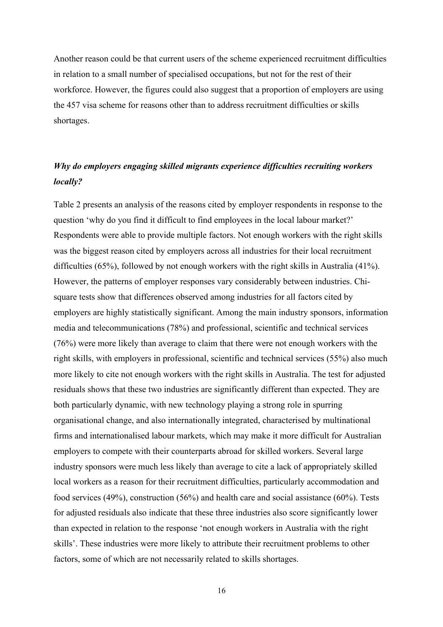Another reason could be that current users of the scheme experienced recruitment difficulties in relation to a small number of specialised occupations, but not for the rest of their workforce. However, the figures could also suggest that a proportion of employers are using the 457 visa scheme for reasons other than to address recruitment difficulties or skills shortages.

# *Why do employers engaging skilled migrants experience difficulties recruiting workers locally?*

Table 2 presents an analysis of the reasons cited by employer respondents in response to the question 'why do you find it difficult to find employees in the local labour market?' Respondents were able to provide multiple factors. Not enough workers with the right skills was the biggest reason cited by employers across all industries for their local recruitment difficulties (65%), followed by not enough workers with the right skills in Australia (41%). However, the patterns of employer responses vary considerably between industries. Chisquare tests show that differences observed among industries for all factors cited by employers are highly statistically significant. Among the main industry sponsors, information media and telecommunications (78%) and professional, scientific and technical services (76%) were more likely than average to claim that there were not enough workers with the right skills, with employers in professional, scientific and technical services (55%) also much more likely to cite not enough workers with the right skills in Australia. The test for adjusted residuals shows that these two industries are significantly different than expected. They are both particularly dynamic, with new technology playing a strong role in spurring organisational change, and also internationally integrated, characterised by multinational firms and internationalised labour markets, which may make it more difficult for Australian employers to compete with their counterparts abroad for skilled workers. Several large industry sponsors were much less likely than average to cite a lack of appropriately skilled local workers as a reason for their recruitment difficulties, particularly accommodation and food services (49%), construction (56%) and health care and social assistance (60%). Tests for adjusted residuals also indicate that these three industries also score significantly lower than expected in relation to the response 'not enough workers in Australia with the right skills'. These industries were more likely to attribute their recruitment problems to other factors, some of which are not necessarily related to skills shortages.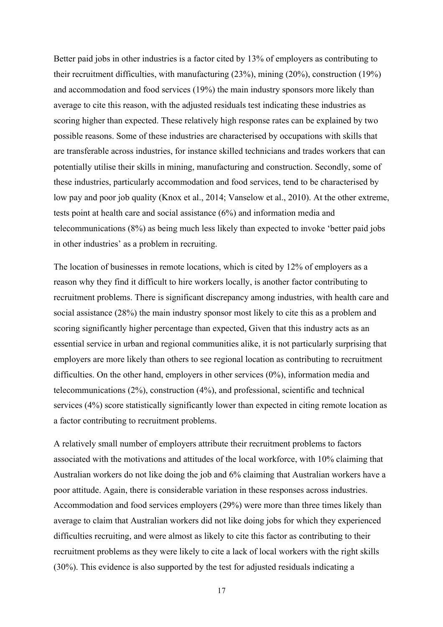Better paid jobs in other industries is a factor cited by 13% of employers as contributing to their recruitment difficulties, with manufacturing (23%), mining (20%), construction (19%) and accommodation and food services (19%) the main industry sponsors more likely than average to cite this reason, with the adjusted residuals test indicating these industries as scoring higher than expected. These relatively high response rates can be explained by two possible reasons. Some of these industries are characterised by occupations with skills that are transferable across industries, for instance skilled technicians and trades workers that can potentially utilise their skills in mining, manufacturing and construction. Secondly, some of these industries, particularly accommodation and food services, tend to be characterised by low pay and poor job quality (Knox et al., 2014; Vanselow et al., 2010). At the other extreme, tests point at health care and social assistance (6%) and information media and telecommunications (8%) as being much less likely than expected to invoke 'better paid jobs in other industries' as a problem in recruiting.

The location of businesses in remote locations, which is cited by 12% of employers as a reason why they find it difficult to hire workers locally, is another factor contributing to recruitment problems. There is significant discrepancy among industries, with health care and social assistance (28%) the main industry sponsor most likely to cite this as a problem and scoring significantly higher percentage than expected, Given that this industry acts as an essential service in urban and regional communities alike, it is not particularly surprising that employers are more likely than others to see regional location as contributing to recruitment difficulties. On the other hand, employers in other services (0%), information media and telecommunications (2%), construction (4%), and professional, scientific and technical services (4%) score statistically significantly lower than expected in citing remote location as a factor contributing to recruitment problems.

A relatively small number of employers attribute their recruitment problems to factors associated with the motivations and attitudes of the local workforce, with 10% claiming that Australian workers do not like doing the job and 6% claiming that Australian workers have a poor attitude. Again, there is considerable variation in these responses across industries. Accommodation and food services employers (29%) were more than three times likely than average to claim that Australian workers did not like doing jobs for which they experienced difficulties recruiting, and were almost as likely to cite this factor as contributing to their recruitment problems as they were likely to cite a lack of local workers with the right skills (30%). This evidence is also supported by the test for adjusted residuals indicating a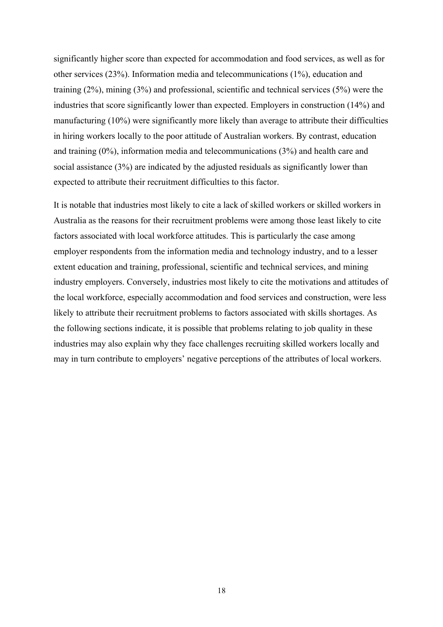significantly higher score than expected for accommodation and food services, as well as for other services (23%). Information media and telecommunications (1%), education and training (2%), mining (3%) and professional, scientific and technical services (5%) were the industries that score significantly lower than expected. Employers in construction (14%) and manufacturing (10%) were significantly more likely than average to attribute their difficulties in hiring workers locally to the poor attitude of Australian workers. By contrast, education and training (0%), information media and telecommunications (3%) and health care and social assistance (3%) are indicated by the adjusted residuals as significantly lower than expected to attribute their recruitment difficulties to this factor.

It is notable that industries most likely to cite a lack of skilled workers or skilled workers in Australia as the reasons for their recruitment problems were among those least likely to cite factors associated with local workforce attitudes. This is particularly the case among employer respondents from the information media and technology industry, and to a lesser extent education and training, professional, scientific and technical services, and mining industry employers. Conversely, industries most likely to cite the motivations and attitudes of the local workforce, especially accommodation and food services and construction, were less likely to attribute their recruitment problems to factors associated with skills shortages. As the following sections indicate, it is possible that problems relating to job quality in these industries may also explain why they face challenges recruiting skilled workers locally and may in turn contribute to employers' negative perceptions of the attributes of local workers.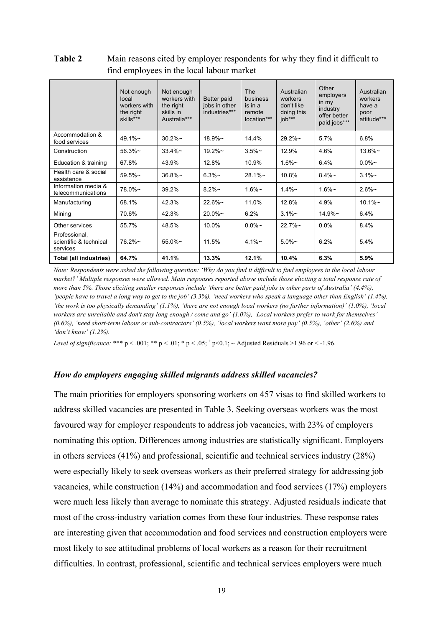|                                                     | Not enough<br>local<br>workers with<br>the right<br>skills*** | Not enough<br>workers with<br>the right<br>skills in<br>Australia*** | Better paid<br>jobs in other<br>industries*** | <b>The</b><br>business<br>is in a<br>remote<br>location*** | Australian<br>workers<br>don't like<br>doing this<br>job*** | Other<br>employers<br>in my<br>industry<br>offer better<br>paid jobs*** | Australian<br>workers<br>have a<br>poor<br>attitude*** |
|-----------------------------------------------------|---------------------------------------------------------------|----------------------------------------------------------------------|-----------------------------------------------|------------------------------------------------------------|-------------------------------------------------------------|-------------------------------------------------------------------------|--------------------------------------------------------|
| Accommodation &<br>food services                    | $49.1\%$ ~                                                    | $30.2\%$ ~                                                           | $18.9\%$ ~                                    | 14.4%                                                      | $29.2\%$ ~                                                  | 5.7%                                                                    | 6.8%                                                   |
| Construction                                        | 56.3%                                                         | $33.4\%$ ~                                                           | $19.2\%$ ~                                    | $3.5\%$ ~                                                  | 12.9%                                                       | 4.6%                                                                    | $13.6\%$ ~                                             |
| Education & training                                | 67.8%                                                         | 43.9%                                                                | 12.8%                                         | 10.9%                                                      | $1.6\%$ ~                                                   | 6.4%                                                                    | $0.0\%$ ~                                              |
| Health care & social<br>assistance                  | $59.5\%$ ~                                                    | $36.8\%$ ~                                                           | $6.3\%$ ~                                     | $28.1\%$ ~                                                 | 10.8%                                                       | $8.4\%$ ~                                                               | $3.1\%$ ~                                              |
| Information media &<br>telecommunications           | 78.0%~                                                        | 39.2%                                                                | $8.2\%$ ~                                     | $1.6\%$ ~                                                  | $1.4\%$ ~                                                   | $1.6\%$ ~                                                               | $2.6\%$ ~                                              |
| Manufacturing                                       | 68.1%                                                         | 42.3%                                                                | 22.6%                                         | 11.0%                                                      | 12.8%                                                       | 4.9%                                                                    | $10.1\%$ ~                                             |
| Mining                                              | 70.6%                                                         | 42.3%                                                                | $20.0\%$ ~                                    | 6.2%                                                       | $3.1\%$ ~                                                   | $14.9\%$ ~                                                              | 6.4%                                                   |
| Other services                                      | 55.7%                                                         | 48.5%                                                                | 10.0%                                         | $0.0\%$ ~                                                  | $22.7\%$ ~                                                  | $0.0\%$                                                                 | 8.4%                                                   |
| Professional,<br>scientific & technical<br>services | $76.2\%$ ~                                                    | $55.0\%$ ~                                                           | 11.5%                                         | $4.1\%$ ~                                                  | $5.0\%$ ~                                                   | 6.2%                                                                    | 5.4%                                                   |
| Total (all industries)                              | 64.7%                                                         | 41.1%                                                                | 13.3%                                         | 12.1%                                                      | 10.4%                                                       | 6.3%                                                                    | 5.9%                                                   |

**Table 2** Main reasons cited by employer respondents for why they find it difficult to find employees in the local labour market

*Note: Respondents were asked the following question: 'Why do you find it difficult to find employees in the local labour market?' Multiple responses were allowed. Main responses reported above include those eliciting a total response rate of more than 5%. Those eliciting smaller responses include 'there are better paid jobs in other parts of Australia' (4.4%), 'people have to travel a long way to get to the job' (3.3%), 'need workers who speak a language other than English' (1.4%), 'the work is too physically demanding' (1.1%), 'there are not enough local workers (no further information)' (1.0%), 'local workers are unreliable and don't stay long enough / come and go' (1.0%), 'Local workers prefer to work for themselves' (0.6%), 'need short-term labour or sub-contractors' (0.5%), 'local workers want more pay' (0.5%), 'other' (2.6%) and 'don't know' (1.2%).*

*Level of significance:* \*\*\*  $p < .001$ ; \*\*  $p < .01$ ; \*  $p < .05$ ;  $^+p<0.1$ ; ~ Adjusted Residuals >1.96 or < -1.96.

#### *How do employers engaging skilled migrants address skilled vacancies?*

The main priorities for employers sponsoring workers on 457 visas to find skilled workers to address skilled vacancies are presented in Table 3. Seeking overseas workers was the most favoured way for employer respondents to address job vacancies, with 23% of employers nominating this option. Differences among industries are statistically significant. Employers in others services (41%) and professional, scientific and technical services industry (28%) were especially likely to seek overseas workers as their preferred strategy for addressing job vacancies, while construction (14%) and accommodation and food services (17%) employers were much less likely than average to nominate this strategy. Adjusted residuals indicate that most of the cross-industry variation comes from these four industries. These response rates are interesting given that accommodation and food services and construction employers were most likely to see attitudinal problems of local workers as a reason for their recruitment difficulties. In contrast, professional, scientific and technical services employers were much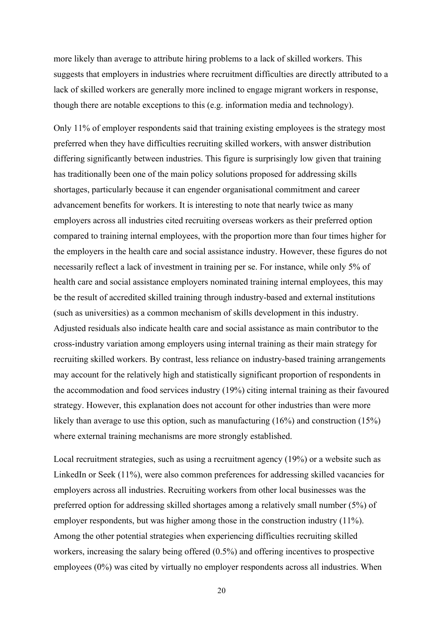more likely than average to attribute hiring problems to a lack of skilled workers. This suggests that employers in industries where recruitment difficulties are directly attributed to a lack of skilled workers are generally more inclined to engage migrant workers in response, though there are notable exceptions to this (e.g. information media and technology).

Only 11% of employer respondents said that training existing employees is the strategy most preferred when they have difficulties recruiting skilled workers, with answer distribution differing significantly between industries. This figure is surprisingly low given that training has traditionally been one of the main policy solutions proposed for addressing skills shortages, particularly because it can engender organisational commitment and career advancement benefits for workers. It is interesting to note that nearly twice as many employers across all industries cited recruiting overseas workers as their preferred option compared to training internal employees, with the proportion more than four times higher for the employers in the health care and social assistance industry. However, these figures do not necessarily reflect a lack of investment in training per se. For instance, while only 5% of health care and social assistance employers nominated training internal employees, this may be the result of accredited skilled training through industry-based and external institutions (such as universities) as a common mechanism of skills development in this industry. Adjusted residuals also indicate health care and social assistance as main contributor to the cross-industry variation among employers using internal training as their main strategy for recruiting skilled workers. By contrast, less reliance on industry-based training arrangements may account for the relatively high and statistically significant proportion of respondents in the accommodation and food services industry (19%) citing internal training as their favoured strategy. However, this explanation does not account for other industries than were more likely than average to use this option, such as manufacturing (16%) and construction (15%) where external training mechanisms are more strongly established.

Local recruitment strategies, such as using a recruitment agency (19%) or a website such as LinkedIn or Seek (11%), were also common preferences for addressing skilled vacancies for employers across all industries. Recruiting workers from other local businesses was the preferred option for addressing skilled shortages among a relatively small number (5%) of employer respondents, but was higher among those in the construction industry (11%). Among the other potential strategies when experiencing difficulties recruiting skilled workers, increasing the salary being offered (0.5%) and offering incentives to prospective employees (0%) was cited by virtually no employer respondents across all industries. When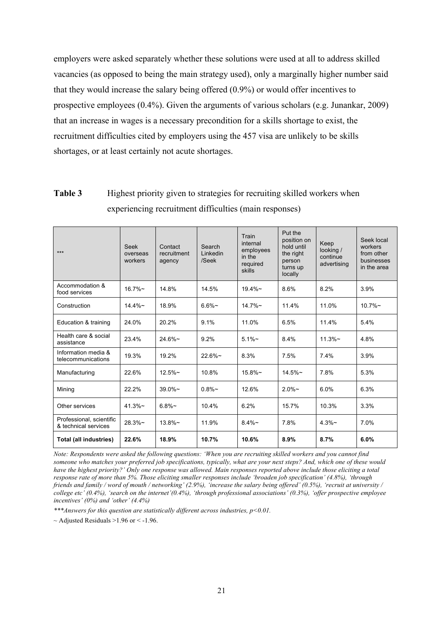employers were asked separately whether these solutions were used at all to address skilled vacancies (as opposed to being the main strategy used), only a marginally higher number said that they would increase the salary being offered (0.9%) or would offer incentives to prospective employees (0.4%). Given the arguments of various scholars (e.g. Junankar, 2009) that an increase in wages is a necessary precondition for a skills shortage to exist, the recruitment difficulties cited by employers using the 457 visa are unlikely to be skills shortages, or at least certainly not acute shortages.

| Table 3 | Highest priority given to strategies for recruiting skilled workers when |
|---------|--------------------------------------------------------------------------|
|         | experiencing recruitment difficulties (main responses)                   |

| $***$                                            | <b>Seek</b><br>overseas<br>workers | Contact<br>recruitment<br>agency | Search<br>Linkedin<br>/Seek | Train<br>internal<br>employees<br>in the<br>required<br>skills | Put the<br>position on<br>hold until<br>the right<br>person<br>turns up<br>locally | Keep<br>looking /<br>continue<br>advertising | Seek local<br>workers<br>from other<br>businesses<br>in the area |
|--------------------------------------------------|------------------------------------|----------------------------------|-----------------------------|----------------------------------------------------------------|------------------------------------------------------------------------------------|----------------------------------------------|------------------------------------------------------------------|
| Accommodation &<br>food services                 | $16.7\%$ ~                         | 14.8%                            | 14.5%                       | $19.4\%$ ~                                                     | 8.6%                                                                               | 8.2%                                         | 3.9%                                                             |
| Construction                                     | $14.4\%$ ~                         | 18.9%                            | $6.6\%$ ~                   | $14.7\%$ ~                                                     | 11.4%                                                                              | 11.0%                                        | $10.7\%$ ~                                                       |
| Education & training                             | 24.0%                              | 20.2%                            | 9.1%                        | 11.0%                                                          | 6.5%                                                                               | 11.4%                                        | 5.4%                                                             |
| Health care & social<br>assistance               | 23.4%                              | $24.6\%$ ~                       | 9.2%                        | $5.1\%$ ~                                                      | 8.4%                                                                               | $11.3\%$ ~                                   | 4.8%                                                             |
| Information media &<br>telecommunications        | 19.3%                              | 19.2%                            | $22.6\%$ ~                  | 8.3%                                                           | 7.5%                                                                               | 7.4%                                         | 3.9%                                                             |
| Manufacturing                                    | 22.6%                              | $12.5\%$ ~                       | 10.8%                       | $15.8\%$ ~                                                     | $14.5\%$ ~                                                                         | 7.8%                                         | 5.3%                                                             |
| Mining                                           | 22.2%                              | $39.0\%$ ~                       | $0.8\%$ ~                   | 12.6%                                                          | $2.0\%$ ~                                                                          | 6.0%                                         | 6.3%                                                             |
| Other services                                   | 41.3%                              | $6.8%$ ~                         | 10.4%                       | 6.2%                                                           | 15.7%                                                                              | 10.3%                                        | 3.3%                                                             |
| Professional, scientific<br>& technical services | $28.3%$ ~                          | $13.8\%$ ~                       | 11.9%                       | $8.4\%$ ~                                                      | 7.8%                                                                               | $4.3%$ ~                                     | 7.0%                                                             |
| <b>Total (all industries)</b>                    | 22.6%                              | 18.9%                            | 10.7%                       | 10.6%                                                          | 8.9%                                                                               | 8.7%                                         | 6.0%                                                             |

*Note: Respondents were asked the following questions: 'When you are recruiting skilled workers and you cannot find someone who matches your preferred job specifications, typically, what are your next steps? And, which one of these would have the highest priority?' Only one response was allowed. Main responses reported above include those eliciting a total response rate of more than 5%. Those eliciting smaller responses include 'broaden job specification' (4.8%), 'through friends and family / word of mouth / networking' (2.9%), 'increase the salary being offered' (0.5%), 'recruit at university / college etc' (0.4%), 'search on the internet'(0.4%), 'through professional associations' (0.3%), 'offer prospective employee incentives' (0%) and 'other' (4.4%)*

*\*\*\*Answers for this question are statistically different across industries, p<0.01.*

 $\sim$  Adjusted Residuals >1.96 or < -1.96.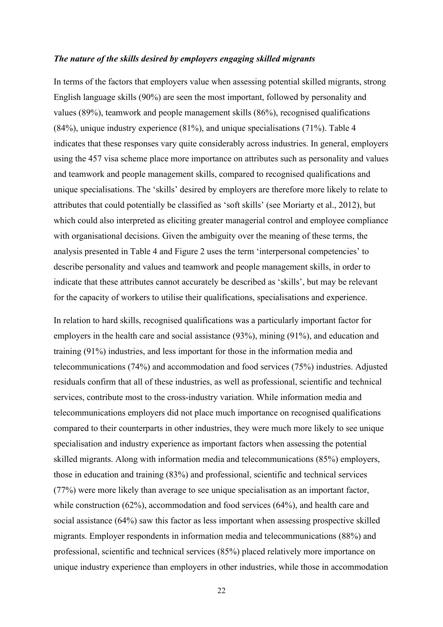#### *The nature of the skills desired by employers engaging skilled migrants*

In terms of the factors that employers value when assessing potential skilled migrants, strong English language skills (90%) are seen the most important, followed by personality and values (89%), teamwork and people management skills (86%), recognised qualifications (84%), unique industry experience (81%), and unique specialisations (71%). Table 4 indicates that these responses vary quite considerably across industries. In general, employers using the 457 visa scheme place more importance on attributes such as personality and values and teamwork and people management skills, compared to recognised qualifications and unique specialisations. The 'skills' desired by employers are therefore more likely to relate to attributes that could potentially be classified as 'soft skills' (see Moriarty et al., 2012), but which could also interpreted as eliciting greater managerial control and employee compliance with organisational decisions. Given the ambiguity over the meaning of these terms, the analysis presented in Table 4 and Figure 2 uses the term 'interpersonal competencies' to describe personality and values and teamwork and people management skills, in order to indicate that these attributes cannot accurately be described as 'skills', but may be relevant for the capacity of workers to utilise their qualifications, specialisations and experience.

In relation to hard skills, recognised qualifications was a particularly important factor for employers in the health care and social assistance (93%), mining (91%), and education and training (91%) industries, and less important for those in the information media and telecommunications (74%) and accommodation and food services (75%) industries. Adjusted residuals confirm that all of these industries, as well as professional, scientific and technical services, contribute most to the cross-industry variation. While information media and telecommunications employers did not place much importance on recognised qualifications compared to their counterparts in other industries, they were much more likely to see unique specialisation and industry experience as important factors when assessing the potential skilled migrants. Along with information media and telecommunications (85%) employers, those in education and training (83%) and professional, scientific and technical services (77%) were more likely than average to see unique specialisation as an important factor, while construction (62%), accommodation and food services (64%), and health care and social assistance (64%) saw this factor as less important when assessing prospective skilled migrants. Employer respondents in information media and telecommunications (88%) and professional, scientific and technical services (85%) placed relatively more importance on unique industry experience than employers in other industries, while those in accommodation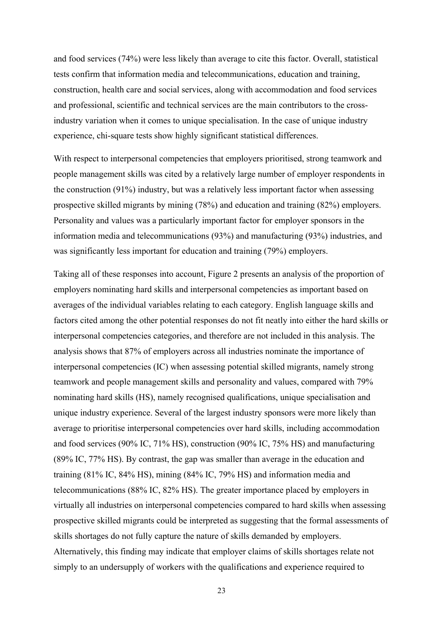and food services (74%) were less likely than average to cite this factor. Overall, statistical tests confirm that information media and telecommunications, education and training, construction, health care and social services, along with accommodation and food services and professional, scientific and technical services are the main contributors to the crossindustry variation when it comes to unique specialisation. In the case of unique industry experience, chi-square tests show highly significant statistical differences.

With respect to interpersonal competencies that employers prioritised, strong teamwork and people management skills was cited by a relatively large number of employer respondents in the construction (91%) industry, but was a relatively less important factor when assessing prospective skilled migrants by mining (78%) and education and training (82%) employers. Personality and values was a particularly important factor for employer sponsors in the information media and telecommunications (93%) and manufacturing (93%) industries, and was significantly less important for education and training (79%) employers.

Taking all of these responses into account, Figure 2 presents an analysis of the proportion of employers nominating hard skills and interpersonal competencies as important based on averages of the individual variables relating to each category. English language skills and factors cited among the other potential responses do not fit neatly into either the hard skills or interpersonal competencies categories, and therefore are not included in this analysis. The analysis shows that 87% of employers across all industries nominate the importance of interpersonal competencies (IC) when assessing potential skilled migrants, namely strong teamwork and people management skills and personality and values, compared with 79% nominating hard skills (HS), namely recognised qualifications, unique specialisation and unique industry experience. Several of the largest industry sponsors were more likely than average to prioritise interpersonal competencies over hard skills, including accommodation and food services (90% IC, 71% HS), construction (90% IC, 75% HS) and manufacturing (89% IC, 77% HS). By contrast, the gap was smaller than average in the education and training (81% IC, 84% HS), mining (84% IC, 79% HS) and information media and telecommunications (88% IC, 82% HS). The greater importance placed by employers in virtually all industries on interpersonal competencies compared to hard skills when assessing prospective skilled migrants could be interpreted as suggesting that the formal assessments of skills shortages do not fully capture the nature of skills demanded by employers. Alternatively, this finding may indicate that employer claims of skills shortages relate not simply to an undersupply of workers with the qualifications and experience required to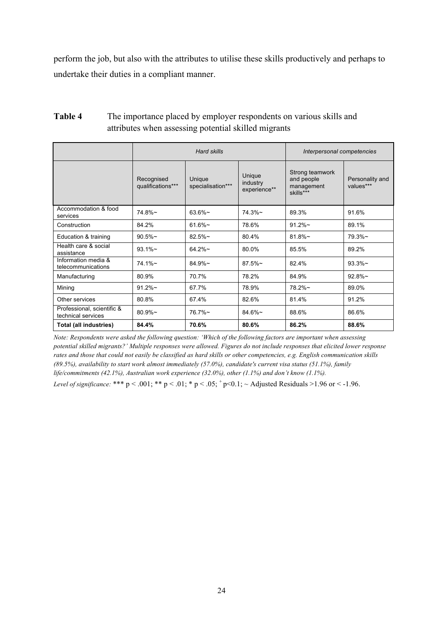perform the job, but also with the attributes to utilise these skills productively and perhaps to undertake their duties in a compliant manner.

|                                                  |                                 | Hard skills                 | Interpersonal competencies         |                                                          |                              |
|--------------------------------------------------|---------------------------------|-----------------------------|------------------------------------|----------------------------------------------------------|------------------------------|
|                                                  | Recognised<br>qualifications*** | Unique<br>specialisation*** | Unique<br>industry<br>experience** | Strong teamwork<br>and people<br>management<br>skills*** | Personality and<br>values*** |
| Accommodation & food<br>services                 | $74.8\%$ ~                      | $63.6\%$ ~                  | $74.3\%$ ~                         | 89.3%                                                    | 91.6%                        |
| Construction                                     | 84.2%                           | $61.6\%$ ~                  | 78.6%                              | $91.2\%$ ~                                               | 89.1%                        |
| Education & training                             | $90.5\%$ ~                      | $82.5%$ ~                   | 80.4%                              | $81.8\%$ ~                                               | $79.3\%$ ~                   |
| Health care & social<br>assistance               | $93.1\%$ ~                      | $64.2\%$ ~                  | 80.0%                              | 85.5%                                                    | 89.2%                        |
| Information media &<br>telecommunications        | $74.1\%$ ~                      | $84.9\%$ ~                  | $87.5\%$ ~                         | 82.4%                                                    | $93.3\%$ ~                   |
| Manufacturing                                    | 80.9%                           | 70.7%                       | 78.2%                              | 84.9%                                                    | $92.8\%$ ~                   |
| Mining                                           | $91.2\%$ ~                      | 67.7%                       | 78.9%                              | 78.2%~                                                   | 89.0%                        |
| Other services                                   | 80.8%                           | 67.4%                       | 82.6%                              | 81.4%                                                    | 91.2%                        |
| Professional, scientific &<br>technical services | $80.9\%$ ~                      | $76.7\%$ ~                  | $84.6\%$ ~                         | 88.6%                                                    | 86.6%                        |
| <b>Total (all industries)</b>                    | 84.4%                           | 70.6%                       | 80.6%                              | 86.2%                                                    | 88.6%                        |

# **Table 4** The importance placed by employer respondents on various skills and attributes when assessing potential skilled migrants

*Note: Respondents were asked the following question: 'Which of the following factors are important when assessing potential skilled migrants?' Multiple responses were allowed. Figures do not include responses that elicited lower response rates and those that could not easily be classified as hard skills or other competencies, e.g. English communication skills (89.5%), availability to start work almost immediately (57.0%), candidate's current visa status (51.1%), family life/commitments (42.1%), Australian work experience (32.0%), other (1.1%) and don't know (1.1%).*

*Level of significance:* \*\*\*  $p < .001$ ; \*\*  $p < .01$ ; \*  $p < .05$ ;  $p < .01$ ; ~ Adjusted Residuals >1.96 or < -1.96.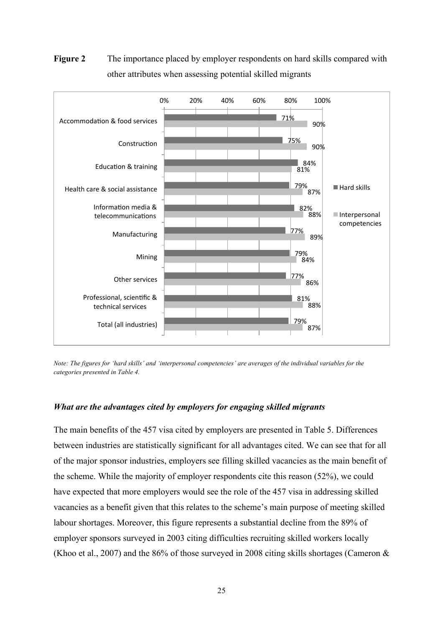

**Figure 2** The importance placed by employer respondents on hard skills compared with other attributes when assessing potential skilled migrants

*Note: The figures for 'hard skills' and 'interpersonal competencies' are averages of the individual variables for the categories presented in Table 4.*

## *What are the advantages cited by employers for engaging skilled migrants*

The main benefits of the 457 visa cited by employers are presented in Table 5. Differences between industries are statistically significant for all advantages cited. We can see that for all of the major sponsor industries, employers see filling skilled vacancies as the main benefit of the scheme. While the majority of employer respondents cite this reason (52%), we could have expected that more employers would see the role of the 457 visa in addressing skilled vacancies as a benefit given that this relates to the scheme's main purpose of meeting skilled labour shortages. Moreover, this figure represents a substantial decline from the 89% of employer sponsors surveyed in 2003 citing difficulties recruiting skilled workers locally (Khoo et al., 2007) and the 86% of those surveyed in 2008 citing skills shortages (Cameron  $\&$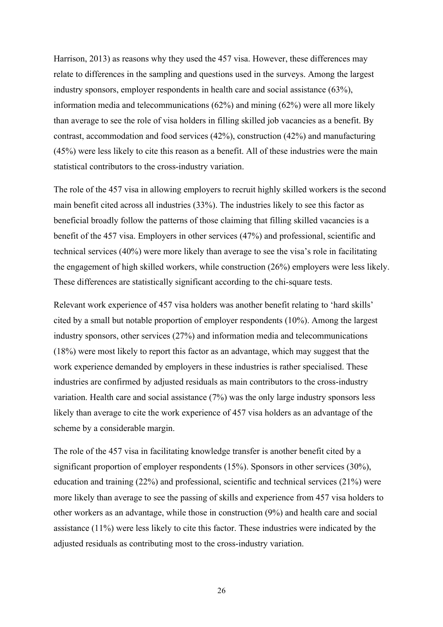Harrison, 2013) as reasons why they used the 457 visa. However, these differences may relate to differences in the sampling and questions used in the surveys. Among the largest industry sponsors, employer respondents in health care and social assistance (63%), information media and telecommunications (62%) and mining (62%) were all more likely than average to see the role of visa holders in filling skilled job vacancies as a benefit. By contrast, accommodation and food services (42%), construction (42%) and manufacturing (45%) were less likely to cite this reason as a benefit. All of these industries were the main statistical contributors to the cross-industry variation.

The role of the 457 visa in allowing employers to recruit highly skilled workers is the second main benefit cited across all industries (33%). The industries likely to see this factor as beneficial broadly follow the patterns of those claiming that filling skilled vacancies is a benefit of the 457 visa. Employers in other services (47%) and professional, scientific and technical services (40%) were more likely than average to see the visa's role in facilitating the engagement of high skilled workers, while construction (26%) employers were less likely. These differences are statistically significant according to the chi-square tests.

Relevant work experience of 457 visa holders was another benefit relating to 'hard skills' cited by a small but notable proportion of employer respondents (10%). Among the largest industry sponsors, other services (27%) and information media and telecommunications (18%) were most likely to report this factor as an advantage, which may suggest that the work experience demanded by employers in these industries is rather specialised. These industries are confirmed by adjusted residuals as main contributors to the cross-industry variation. Health care and social assistance (7%) was the only large industry sponsors less likely than average to cite the work experience of 457 visa holders as an advantage of the scheme by a considerable margin.

The role of the 457 visa in facilitating knowledge transfer is another benefit cited by a significant proportion of employer respondents (15%). Sponsors in other services (30%), education and training (22%) and professional, scientific and technical services (21%) were more likely than average to see the passing of skills and experience from 457 visa holders to other workers as an advantage, while those in construction (9%) and health care and social assistance (11%) were less likely to cite this factor. These industries were indicated by the adjusted residuals as contributing most to the cross-industry variation.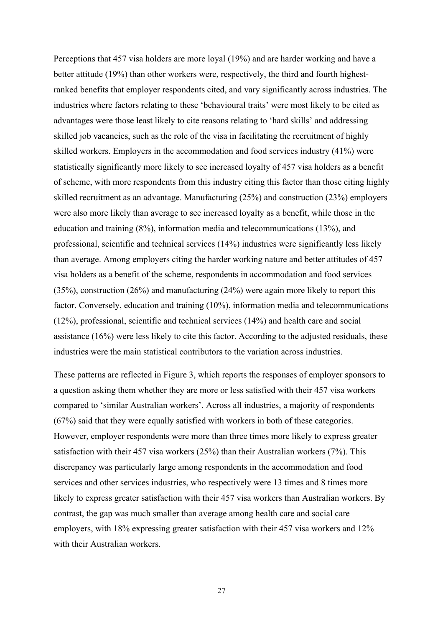Perceptions that 457 visa holders are more loyal (19%) and are harder working and have a better attitude (19%) than other workers were, respectively, the third and fourth highestranked benefits that employer respondents cited, and vary significantly across industries. The industries where factors relating to these 'behavioural traits' were most likely to be cited as advantages were those least likely to cite reasons relating to 'hard skills' and addressing skilled job vacancies, such as the role of the visa in facilitating the recruitment of highly skilled workers. Employers in the accommodation and food services industry (41%) were statistically significantly more likely to see increased loyalty of 457 visa holders as a benefit of scheme, with more respondents from this industry citing this factor than those citing highly skilled recruitment as an advantage. Manufacturing (25%) and construction (23%) employers were also more likely than average to see increased loyalty as a benefit, while those in the education and training (8%), information media and telecommunications (13%), and professional, scientific and technical services (14%) industries were significantly less likely than average. Among employers citing the harder working nature and better attitudes of 457 visa holders as a benefit of the scheme, respondents in accommodation and food services (35%), construction (26%) and manufacturing (24%) were again more likely to report this factor. Conversely, education and training (10%), information media and telecommunications (12%), professional, scientific and technical services (14%) and health care and social assistance (16%) were less likely to cite this factor. According to the adjusted residuals, these industries were the main statistical contributors to the variation across industries.

These patterns are reflected in Figure 3, which reports the responses of employer sponsors to a question asking them whether they are more or less satisfied with their 457 visa workers compared to 'similar Australian workers'. Across all industries, a majority of respondents (67%) said that they were equally satisfied with workers in both of these categories. However, employer respondents were more than three times more likely to express greater satisfaction with their 457 visa workers (25%) than their Australian workers (7%). This discrepancy was particularly large among respondents in the accommodation and food services and other services industries, who respectively were 13 times and 8 times more likely to express greater satisfaction with their 457 visa workers than Australian workers. By contrast, the gap was much smaller than average among health care and social care employers, with 18% expressing greater satisfaction with their 457 visa workers and 12% with their Australian workers.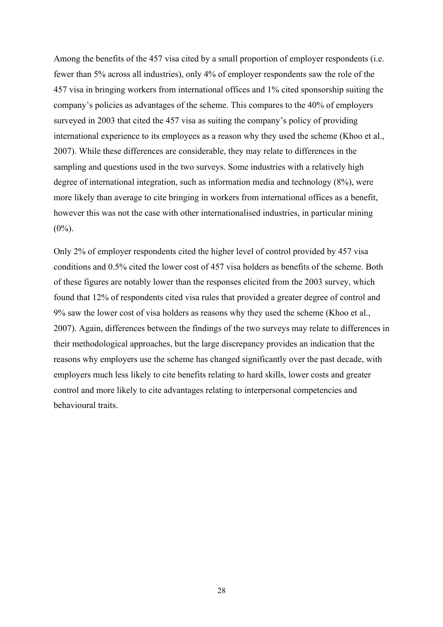Among the benefits of the 457 visa cited by a small proportion of employer respondents (i.e. fewer than 5% across all industries), only 4% of employer respondents saw the role of the 457 visa in bringing workers from international offices and 1% cited sponsorship suiting the company's policies as advantages of the scheme. This compares to the 40% of employers surveyed in 2003 that cited the 457 visa as suiting the company's policy of providing international experience to its employees as a reason why they used the scheme (Khoo et al., 2007). While these differences are considerable, they may relate to differences in the sampling and questions used in the two surveys. Some industries with a relatively high degree of international integration, such as information media and technology (8%), were more likely than average to cite bringing in workers from international offices as a benefit, however this was not the case with other internationalised industries, in particular mining  $(0\%)$ .

Only 2% of employer respondents cited the higher level of control provided by 457 visa conditions and 0.5% cited the lower cost of 457 visa holders as benefits of the scheme. Both of these figures are notably lower than the responses elicited from the 2003 survey, which found that 12% of respondents cited visa rules that provided a greater degree of control and 9% saw the lower cost of visa holders as reasons why they used the scheme (Khoo et al., 2007). Again, differences between the findings of the two surveys may relate to differences in their methodological approaches, but the large discrepancy provides an indication that the reasons why employers use the scheme has changed significantly over the past decade, with employers much less likely to cite benefits relating to hard skills, lower costs and greater control and more likely to cite advantages relating to interpersonal competencies and behavioural traits.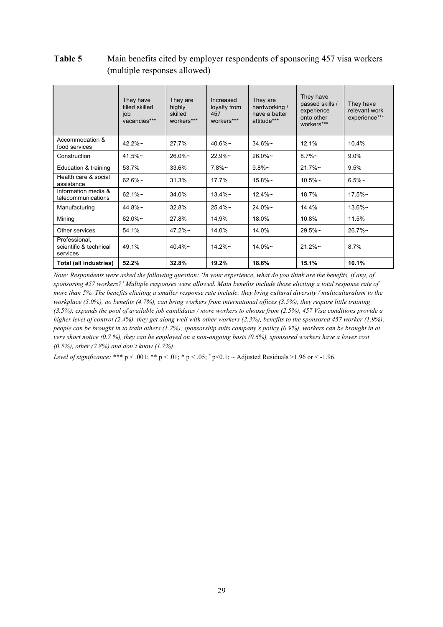# **Table 5** Main benefits cited by employer respondents of sponsoring 457 visa workers (multiple responses allowed)

|                                                     | They have<br>filled skilled<br>job<br>vacancies*** | They are<br>highly<br>skilled<br>workers*** | Increased<br>loyalty from<br>457<br>workers*** | They are<br>hardworking /<br>have a better<br>attitude*** | They have<br>passed skills /<br>experience<br>onto other<br>workers*** | They have<br>relevant work<br>experience*** |
|-----------------------------------------------------|----------------------------------------------------|---------------------------------------------|------------------------------------------------|-----------------------------------------------------------|------------------------------------------------------------------------|---------------------------------------------|
| Accommodation &<br>food services                    | $42.2\%$ ~                                         | 27.7%                                       | $40.6\%$ ~                                     | $34.6\%$ ~                                                | 12.1%                                                                  | 10.4%                                       |
| Construction                                        | 41.5%                                              | $26.0\%$ ~                                  | $22.9\%$ ~                                     | $26.0\%$ ~                                                | $8.7\%$ ~                                                              | 9.0%                                        |
| Education & training                                | 53.7%                                              | 33.6%                                       | $7.8\%$ ~                                      | $9.8\%$ ~                                                 | $21.7\%$ ~                                                             | 9.5%                                        |
| Health care & social<br>assistance                  | $62.6\%$ ~                                         | 31.3%                                       | 17.7%                                          | $15.8\%$ ~                                                | $10.5\%$ ~                                                             | $6.5%$ ~                                    |
| Information media &<br>telecommunications           | $62.1\%$ ~                                         | 34.0%                                       | $13.4\%$ ~                                     | $12.4\%$ ~                                                | 18.7%                                                                  | $17.5\%$ ~                                  |
| Manufacturing                                       | $44.8\%$ ~                                         | 32.8%                                       | $25.4\%$ ~                                     | $24.0\%$ ~                                                | 14.4%                                                                  | $13.6\%$ ~                                  |
| Mining                                              | $62.0\%$ ~                                         | 27.8%                                       | 14.9%                                          | 18.0%                                                     | 10.8%                                                                  | 11.5%                                       |
| Other services                                      | 54.1%                                              | $47.2\%$ ~                                  | 14.0%                                          | 14.0%                                                     | $29.5\%$ ~                                                             | $26.7\%$ ~                                  |
| Professional,<br>scientific & technical<br>services | 49.1%                                              | $40.4\%$ ~                                  | $14.2\%$ ~                                     | $14.0\%$ ~                                                | $21.2\%$ ~                                                             | 8.7%                                        |
| Total (all industries)                              | 52.2%                                              | 32.8%                                       | 19.2%                                          | 18.6%                                                     | 15.1%                                                                  | 10.1%                                       |

*Note: Respondents were asked the following question: 'In your experience, what do you think are the benefits, if any, of sponsoring 457 workers?' Multiple responses were allowed. Main benefits include those eliciting a total response rate of more than 5%. The benefits eliciting a smaller response rate include: they bring cultural diversity / multiculturalism to the workplace (5.0%), no benefits (4.7%), can bring workers from international offices (3.5%), they require little training (3.5%), expands the pool of available job candidates / more workers to choose from (2.5%), 457 Visa conditions provide a higher level of control (2.4%), they get along well with other workers (2.3%), benefits to the sponsored 457 worker (1.9%), people can be brought in to train others (1.2%), sponsorship suits company's policy (0.9%), workers can be brought in at very short notice (0.7 %), they can be employed on a non-ongoing basis (0.6%), sponsored workers have a lower cost (0.5%), other (2.8%) and don't know (1.7%).*

*Level of significance:* \*\*\* p < .001; \*\* p < .01; \* p < .05;  $+p$  < 0.1; ~ Adjusted Residuals >1.96 or < -1.96.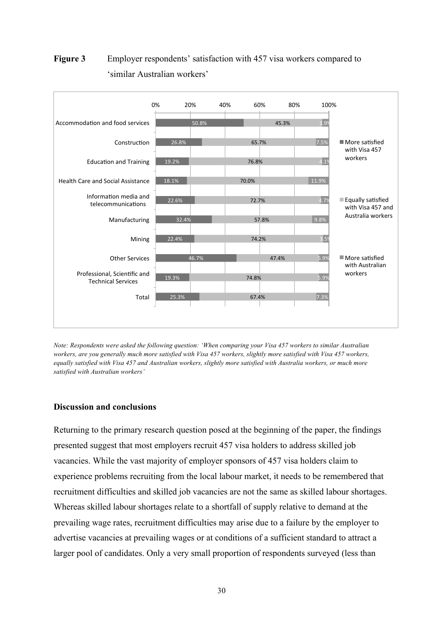# **Figure 3** Employer respondents' satisfaction with 457 visa workers compared to 'similar Australian workers'



*Note: Respondents were asked the following question: 'When comparing your Visa 457 workers to similar Australian workers, are you generally much more satisfied with Visa 457 workers, slightly more satisfied with Visa 457 workers, equally satisfied with Visa 457 and Australian workers, slightly more satisfied with Australia workers, or much more satisfied with Australian workers'* 

## **Discussion and conclusions**

Returning to the primary research question posed at the beginning of the paper, the findings presented suggest that most employers recruit 457 visa holders to address skilled job vacancies. While the vast majority of employer sponsors of 457 visa holders claim to experience problems recruiting from the local labour market, it needs to be remembered that recruitment difficulties and skilled job vacancies are not the same as skilled labour shortages. Whereas skilled labour shortages relate to a shortfall of supply relative to demand at the prevailing wage rates, recruitment difficulties may arise due to a failure by the employer to advertise vacancies at prevailing wages or at conditions of a sufficient standard to attract a larger pool of candidates. Only a very small proportion of respondents surveyed (less than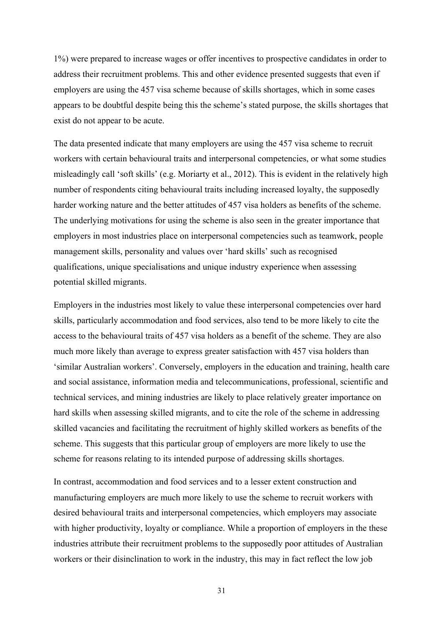1%) were prepared to increase wages or offer incentives to prospective candidates in order to address their recruitment problems. This and other evidence presented suggests that even if employers are using the 457 visa scheme because of skills shortages, which in some cases appears to be doubtful despite being this the scheme's stated purpose, the skills shortages that exist do not appear to be acute.

The data presented indicate that many employers are using the 457 visa scheme to recruit workers with certain behavioural traits and interpersonal competencies, or what some studies misleadingly call 'soft skills' (e.g. Moriarty et al., 2012). This is evident in the relatively high number of respondents citing behavioural traits including increased loyalty, the supposedly harder working nature and the better attitudes of 457 visa holders as benefits of the scheme. The underlying motivations for using the scheme is also seen in the greater importance that employers in most industries place on interpersonal competencies such as teamwork, people management skills, personality and values over 'hard skills' such as recognised qualifications, unique specialisations and unique industry experience when assessing potential skilled migrants.

Employers in the industries most likely to value these interpersonal competencies over hard skills, particularly accommodation and food services, also tend to be more likely to cite the access to the behavioural traits of 457 visa holders as a benefit of the scheme. They are also much more likely than average to express greater satisfaction with 457 visa holders than 'similar Australian workers'. Conversely, employers in the education and training, health care and social assistance, information media and telecommunications, professional, scientific and technical services, and mining industries are likely to place relatively greater importance on hard skills when assessing skilled migrants, and to cite the role of the scheme in addressing skilled vacancies and facilitating the recruitment of highly skilled workers as benefits of the scheme. This suggests that this particular group of employers are more likely to use the scheme for reasons relating to its intended purpose of addressing skills shortages.

In contrast, accommodation and food services and to a lesser extent construction and manufacturing employers are much more likely to use the scheme to recruit workers with desired behavioural traits and interpersonal competencies, which employers may associate with higher productivity, loyalty or compliance. While a proportion of employers in the these industries attribute their recruitment problems to the supposedly poor attitudes of Australian workers or their disinclination to work in the industry, this may in fact reflect the low job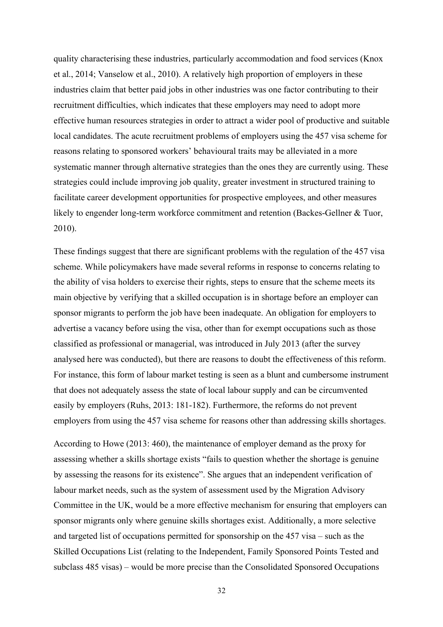quality characterising these industries, particularly accommodation and food services (Knox et al., 2014; Vanselow et al., 2010). A relatively high proportion of employers in these industries claim that better paid jobs in other industries was one factor contributing to their recruitment difficulties, which indicates that these employers may need to adopt more effective human resources strategies in order to attract a wider pool of productive and suitable local candidates. The acute recruitment problems of employers using the 457 visa scheme for reasons relating to sponsored workers' behavioural traits may be alleviated in a more systematic manner through alternative strategies than the ones they are currently using. These strategies could include improving job quality, greater investment in structured training to facilitate career development opportunities for prospective employees, and other measures likely to engender long-term workforce commitment and retention (Backes-Gellner & Tuor, 2010).

These findings suggest that there are significant problems with the regulation of the 457 visa scheme. While policymakers have made several reforms in response to concerns relating to the ability of visa holders to exercise their rights, steps to ensure that the scheme meets its main objective by verifying that a skilled occupation is in shortage before an employer can sponsor migrants to perform the job have been inadequate. An obligation for employers to advertise a vacancy before using the visa, other than for exempt occupations such as those classified as professional or managerial, was introduced in July 2013 (after the survey analysed here was conducted), but there are reasons to doubt the effectiveness of this reform. For instance, this form of labour market testing is seen as a blunt and cumbersome instrument that does not adequately assess the state of local labour supply and can be circumvented easily by employers (Ruhs, 2013: 181-182). Furthermore, the reforms do not prevent employers from using the 457 visa scheme for reasons other than addressing skills shortages.

According to Howe (2013: 460), the maintenance of employer demand as the proxy for assessing whether a skills shortage exists "fails to question whether the shortage is genuine by assessing the reasons for its existence". She argues that an independent verification of labour market needs, such as the system of assessment used by the Migration Advisory Committee in the UK, would be a more effective mechanism for ensuring that employers can sponsor migrants only where genuine skills shortages exist. Additionally, a more selective and targeted list of occupations permitted for sponsorship on the 457 visa – such as the Skilled Occupations List (relating to the Independent, Family Sponsored Points Tested and subclass 485 visas) – would be more precise than the Consolidated Sponsored Occupations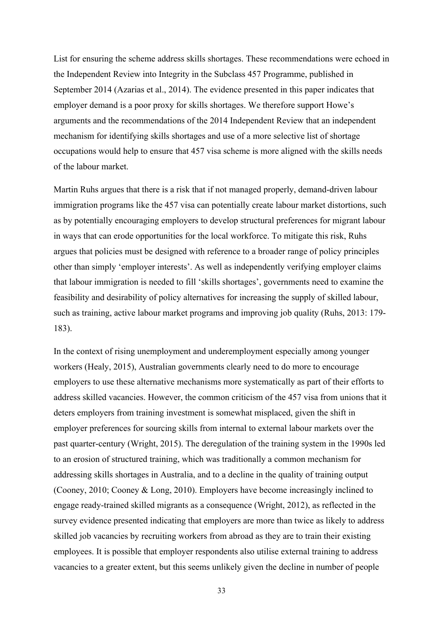List for ensuring the scheme address skills shortages. These recommendations were echoed in the Independent Review into Integrity in the Subclass 457 Programme, published in September 2014 (Azarias et al., 2014). The evidence presented in this paper indicates that employer demand is a poor proxy for skills shortages. We therefore support Howe's arguments and the recommendations of the 2014 Independent Review that an independent mechanism for identifying skills shortages and use of a more selective list of shortage occupations would help to ensure that 457 visa scheme is more aligned with the skills needs of the labour market.

Martin Ruhs argues that there is a risk that if not managed properly, demand-driven labour immigration programs like the 457 visa can potentially create labour market distortions, such as by potentially encouraging employers to develop structural preferences for migrant labour in ways that can erode opportunities for the local workforce. To mitigate this risk, Ruhs argues that policies must be designed with reference to a broader range of policy principles other than simply 'employer interests'. As well as independently verifying employer claims that labour immigration is needed to fill 'skills shortages', governments need to examine the feasibility and desirability of policy alternatives for increasing the supply of skilled labour, such as training, active labour market programs and improving job quality (Ruhs, 2013: 179- 183).

In the context of rising unemployment and underemployment especially among younger workers (Healy, 2015), Australian governments clearly need to do more to encourage employers to use these alternative mechanisms more systematically as part of their efforts to address skilled vacancies. However, the common criticism of the 457 visa from unions that it deters employers from training investment is somewhat misplaced, given the shift in employer preferences for sourcing skills from internal to external labour markets over the past quarter-century (Wright, 2015). The deregulation of the training system in the 1990s led to an erosion of structured training, which was traditionally a common mechanism for addressing skills shortages in Australia, and to a decline in the quality of training output (Cooney, 2010; Cooney & Long, 2010). Employers have become increasingly inclined to engage ready-trained skilled migrants as a consequence (Wright, 2012), as reflected in the survey evidence presented indicating that employers are more than twice as likely to address skilled job vacancies by recruiting workers from abroad as they are to train their existing employees. It is possible that employer respondents also utilise external training to address vacancies to a greater extent, but this seems unlikely given the decline in number of people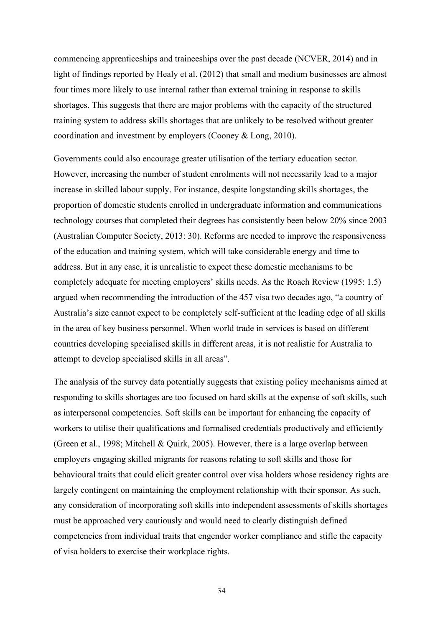commencing apprenticeships and traineeships over the past decade (NCVER, 2014) and in light of findings reported by Healy et al. (2012) that small and medium businesses are almost four times more likely to use internal rather than external training in response to skills shortages. This suggests that there are major problems with the capacity of the structured training system to address skills shortages that are unlikely to be resolved without greater coordination and investment by employers (Cooney & Long, 2010).

Governments could also encourage greater utilisation of the tertiary education sector. However, increasing the number of student enrolments will not necessarily lead to a major increase in skilled labour supply. For instance, despite longstanding skills shortages, the proportion of domestic students enrolled in undergraduate information and communications technology courses that completed their degrees has consistently been below 20% since 2003 (Australian Computer Society, 2013: 30). Reforms are needed to improve the responsiveness of the education and training system, which will take considerable energy and time to address. But in any case, it is unrealistic to expect these domestic mechanisms to be completely adequate for meeting employers' skills needs. As the Roach Review (1995: 1.5) argued when recommending the introduction of the 457 visa two decades ago, "a country of Australia's size cannot expect to be completely self-sufficient at the leading edge of all skills in the area of key business personnel. When world trade in services is based on different countries developing specialised skills in different areas, it is not realistic for Australia to attempt to develop specialised skills in all areas".

The analysis of the survey data potentially suggests that existing policy mechanisms aimed at responding to skills shortages are too focused on hard skills at the expense of soft skills, such as interpersonal competencies. Soft skills can be important for enhancing the capacity of workers to utilise their qualifications and formalised credentials productively and efficiently (Green et al., 1998; Mitchell & Quirk, 2005). However, there is a large overlap between employers engaging skilled migrants for reasons relating to soft skills and those for behavioural traits that could elicit greater control over visa holders whose residency rights are largely contingent on maintaining the employment relationship with their sponsor. As such, any consideration of incorporating soft skills into independent assessments of skills shortages must be approached very cautiously and would need to clearly distinguish defined competencies from individual traits that engender worker compliance and stifle the capacity of visa holders to exercise their workplace rights.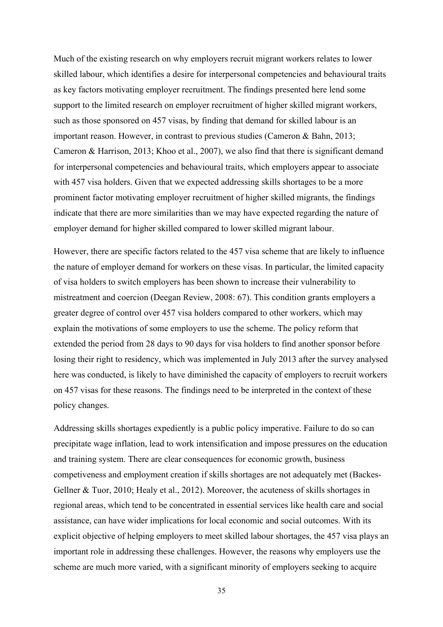Much of the existing research on why employers recruit migrant workers relates to lower skilled labour, which identifies a desire for interpersonal competencies and behavioural traits as key factors motivating employer recruitment. The findings presented here lend some support to the limited research on employer recruitment of higher skilled migrant workers, such as those sponsored on 457 visas, by finding that demand for skilled labour is an important reason. However, in contrast to previous studies (Cameron & Bahn, 2013; Cameron & Harrison, 2013; Khoo et al., 2007), we also find that there is significant demand for interpersonal competencies and behavioural traits, which employers appear to associate with 457 visa holders. Given that we expected addressing skills shortages to be a more prominent factor motivating employer recruitment of higher skilled migrants, the findings indicate that there are more similarities than we may have expected regarding the nature of employer demand for higher skilled compared to lower skilled migrant labour.

However, there are specific factors related to the 457 visa scheme that are likely to influence the nature of employer demand for workers on these visas. In particular, the limited capacity of visa holders to switch employers has been shown to increase their vulnerability to mistreatment and coercion (Deegan Review, 2008: 67). This condition grants employers a greater degree of control over 457 visa holders compared to other workers, which may explain the motivations of some employers to use the scheme. The policy reform that extended the period from 28 days to 90 days for visa holders to find another sponsor before losing their right to residency, which was implemented in July 2013 after the survey analysed here was conducted, is likely to have diminished the capacity of employers to recruit workers on 457 visas for these reasons. The findings need to be interpreted in the context of these policy changes.

Addressing skills shortages expediently is a public policy imperative. Failure to do so can precipitate wage inflation, lead to work intensification and impose pressures on the education and training system. There are clear consequences for economic growth, business competiveness and employment creation if skills shortages are not adequately met (Backes-Gellner & Tuor, 2010; Healy et al., 2012). Moreover, the acuteness of skills shortages in regional areas, which tend to be concentrated in essential services like health care and social assistance, can have wider implications for local economic and social outcomes. With its explicit objective of helping employers to meet skilled labour shortages, the 457 visa plays an important role in addressing these challenges. However, the reasons why employers use the scheme are much more varied, with a significant minority of employers seeking to acquire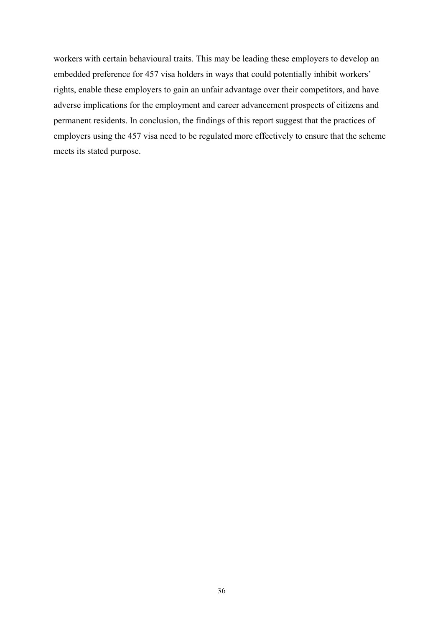workers with certain behavioural traits. This may be leading these employers to develop an embedded preference for 457 visa holders in ways that could potentially inhibit workers' rights, enable these employers to gain an unfair advantage over their competitors, and have adverse implications for the employment and career advancement prospects of citizens and permanent residents. In conclusion, the findings of this report suggest that the practices of employers using the 457 visa need to be regulated more effectively to ensure that the scheme meets its stated purpose.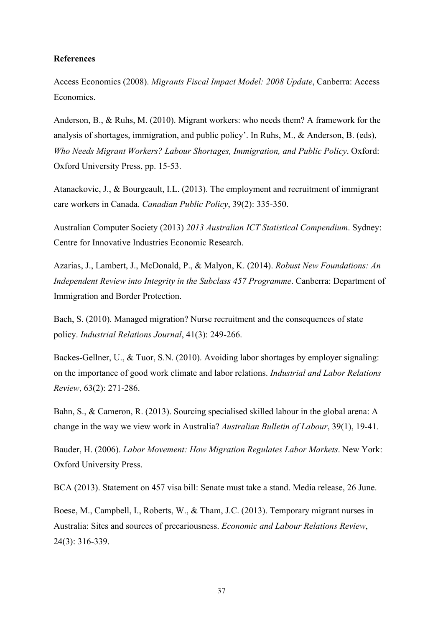#### **References**

Access Economics (2008). *Migrants Fiscal Impact Model: 2008 Update*, Canberra: Access Economics.

Anderson, B., & Ruhs, M. (2010). Migrant workers: who needs them? A framework for the analysis of shortages, immigration, and public policy'. In Ruhs, M., & Anderson, B. (eds), *Who Needs Migrant Workers? Labour Shortages, Immigration, and Public Policy*. Oxford: Oxford University Press, pp. 15-53.

Atanackovic, J., & Bourgeault, I.L. (2013). The employment and recruitment of immigrant care workers in Canada. *Canadian Public Policy*, 39(2): 335-350.

Australian Computer Society (2013) *2013 Australian ICT Statistical Compendium*. Sydney: Centre for Innovative Industries Economic Research.

Azarias, J., Lambert, J., McDonald, P., & Malyon, K. (2014). *Robust New Foundations: An Independent Review into Integrity in the Subclass 457 Programme*. Canberra: Department of Immigration and Border Protection.

Bach, S. (2010). Managed migration? Nurse recruitment and the consequences of state policy. *Industrial Relations Journal*, 41(3): 249-266.

Backes-Gellner, U., & Tuor, S.N. (2010). Avoiding labor shortages by employer signaling: on the importance of good work climate and labor relations. *Industrial and Labor Relations Review*, 63(2): 271-286.

Bahn, S., & Cameron, R. (2013). Sourcing specialised skilled labour in the global arena: A change in the way we view work in Australia? *Australian Bulletin of Labour*, 39(1), 19-41.

Bauder, H. (2006). *Labor Movement: How Migration Regulates Labor Markets*. New York: Oxford University Press.

BCA (2013). Statement on 457 visa bill: Senate must take a stand. Media release, 26 June.

Boese, M., Campbell, I., Roberts, W., & Tham, J.C. (2013). Temporary migrant nurses in Australia: Sites and sources of precariousness. *Economic and Labour Relations Review*, 24(3): 316-339.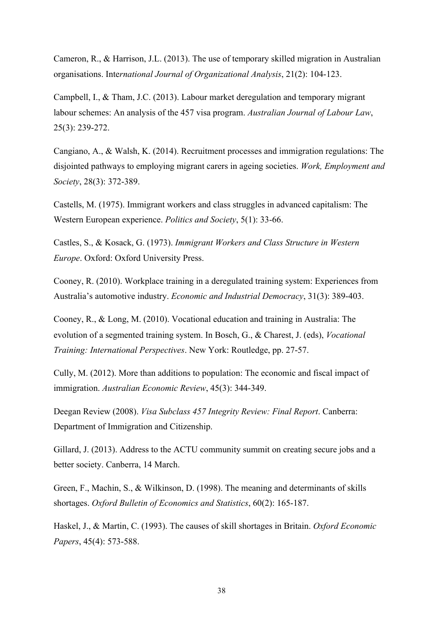Cameron, R., & Harrison, J.L. (2013). The use of temporary skilled migration in Australian organisations. Inte*rnational Journal of Organizational Analysis*, 21(2): 104-123.

Campbell, I., & Tham, J.C. (2013). Labour market deregulation and temporary migrant labour schemes: An analysis of the 457 visa program. *Australian Journal of Labour Law*, 25(3): 239-272.

Cangiano, A., & Walsh, K. (2014). Recruitment processes and immigration regulations: The disjointed pathways to employing migrant carers in ageing societies. *Work, Employment and Society*, 28(3): 372-389.

Castells, M. (1975). Immigrant workers and class struggles in advanced capitalism: The Western European experience. *Politics and Society*, 5(1): 33-66.

Castles, S., & Kosack, G. (1973). *Immigrant Workers and Class Structure in Western Europe*. Oxford: Oxford University Press.

Cooney, R. (2010). Workplace training in a deregulated training system: Experiences from Australia's automotive industry. *Economic and Industrial Democracy*, 31(3): 389-403.

Cooney, R., & Long, M. (2010). Vocational education and training in Australia: The evolution of a segmented training system. In Bosch, G., & Charest, J. (eds), *Vocational Training: International Perspectives*. New York: Routledge, pp. 27-57.

Cully, M. (2012). More than additions to population: The economic and fiscal impact of immigration. *Australian Economic Review*, 45(3): 344-349.

Deegan Review (2008). *Visa Subclass 457 Integrity Review: Final Report*. Canberra: Department of Immigration and Citizenship.

Gillard, J. (2013). Address to the ACTU community summit on creating secure jobs and a better society. Canberra, 14 March.

Green, F., Machin, S., & Wilkinson, D. (1998). The meaning and determinants of skills shortages. *Oxford Bulletin of Economics and Statistics*, 60(2): 165-187.

Haskel, J., & Martin, C. (1993). The causes of skill shortages in Britain. *Oxford Economic Papers*, 45(4): 573-588.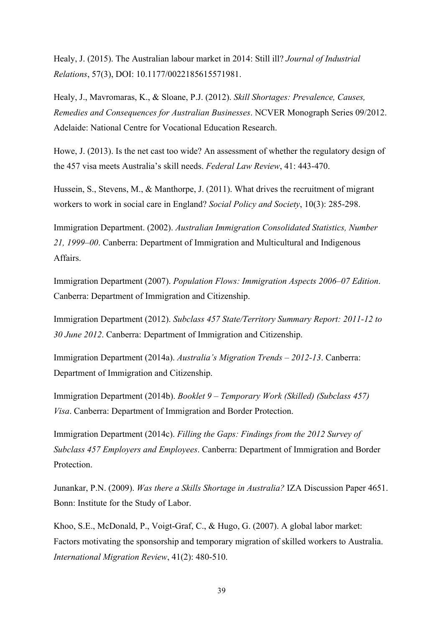Healy, J. (2015). The Australian labour market in 2014: Still ill? *Journal of Industrial Relations*, 57(3), DOI: 10.1177/0022185615571981.

Healy, J., Mavromaras, K., & Sloane, P.J. (2012). *Skill Shortages: Prevalence, Causes, Remedies and Consequences for Australian Businesses*. NCVER Monograph Series 09/2012. Adelaide: National Centre for Vocational Education Research.

Howe, J. (2013). Is the net cast too wide? An assessment of whether the regulatory design of the 457 visa meets Australia's skill needs. *Federal Law Review*, 41: 443-470.

Hussein, S., Stevens, M., & Manthorpe, J. (2011). What drives the recruitment of migrant workers to work in social care in England? *Social Policy and Society*, 10(3): 285-298.

Immigration Department. (2002). *Australian Immigration Consolidated Statistics, Number 21, 1999–00*. Canberra: Department of Immigration and Multicultural and Indigenous Affairs.

Immigration Department (2007). *Population Flows: Immigration Aspects 2006–07 Edition*. Canberra: Department of Immigration and Citizenship.

Immigration Department (2012). *Subclass 457 State/Territory Summary Report: 2011-12 to 30 June 2012*. Canberra: Department of Immigration and Citizenship.

Immigration Department (2014a). *Australia's Migration Trends – 2012-13*. Canberra: Department of Immigration and Citizenship.

Immigration Department (2014b). *Booklet 9 – Temporary Work (Skilled) (Subclass 457) Visa*. Canberra: Department of Immigration and Border Protection.

Immigration Department (2014c). *Filling the Gaps: Findings from the 2012 Survey of Subclass 457 Employers and Employees*. Canberra: Department of Immigration and Border **Protection** 

Junankar, P.N. (2009). *Was there a Skills Shortage in Australia?* IZA Discussion Paper 4651. Bonn: Institute for the Study of Labor.

Khoo, S.E., McDonald, P., Voigt-Graf, C., & Hugo, G. (2007). A global labor market: Factors motivating the sponsorship and temporary migration of skilled workers to Australia. *International Migration Review*, 41(2): 480-510.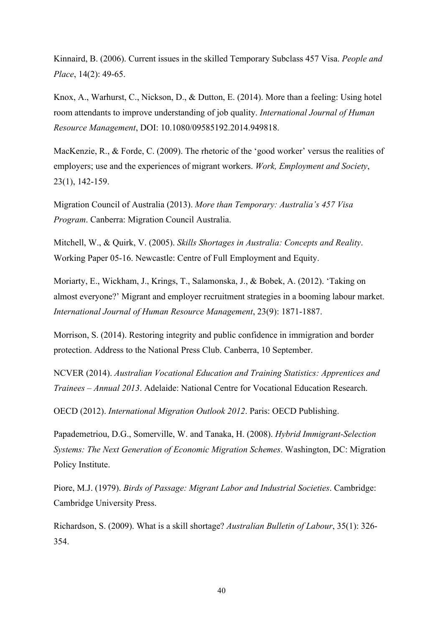Kinnaird, B. (2006). Current issues in the skilled Temporary Subclass 457 Visa. *People and Place*, 14(2): 49-65.

Knox, A., Warhurst, C., Nickson, D., & Dutton, E. (2014). More than a feeling: Using hotel room attendants to improve understanding of job quality. *International Journal of Human Resource Management*, DOI: 10.1080/09585192.2014.949818.

MacKenzie, R., & Forde, C. (2009). The rhetoric of the 'good worker' versus the realities of employers; use and the experiences of migrant workers. *Work, Employment and Society*, 23(1), 142-159.

Migration Council of Australia (2013). *More than Temporary: Australia's 457 Visa Program*. Canberra: Migration Council Australia.

Mitchell, W., & Quirk, V. (2005). *Skills Shortages in Australia: Concepts and Reality*. Working Paper 05-16. Newcastle: Centre of Full Employment and Equity.

Moriarty, E., Wickham, J., Krings, T., Salamonska, J., & Bobek, A. (2012). 'Taking on almost everyone?' Migrant and employer recruitment strategies in a booming labour market. *International Journal of Human Resource Management*, 23(9): 1871-1887.

Morrison, S. (2014). Restoring integrity and public confidence in immigration and border protection. Address to the National Press Club. Canberra, 10 September.

NCVER (2014). *Australian Vocational Education and Training Statistics: Apprentices and Trainees – Annual 2013*. Adelaide: National Centre for Vocational Education Research.

OECD (2012). *International Migration Outlook 2012*. Paris: OECD Publishing.

Papademetriou, D.G., Somerville, W. and Tanaka, H. (2008). *Hybrid Immigrant-Selection Systems: The Next Generation of Economic Migration Schemes*. Washington, DC: Migration Policy Institute.

Piore, M.J. (1979). *Birds of Passage: Migrant Labor and Industrial Societies*. Cambridge: Cambridge University Press.

Richardson, S. (2009). What is a skill shortage? *Australian Bulletin of Labour*, 35(1): 326- 354.